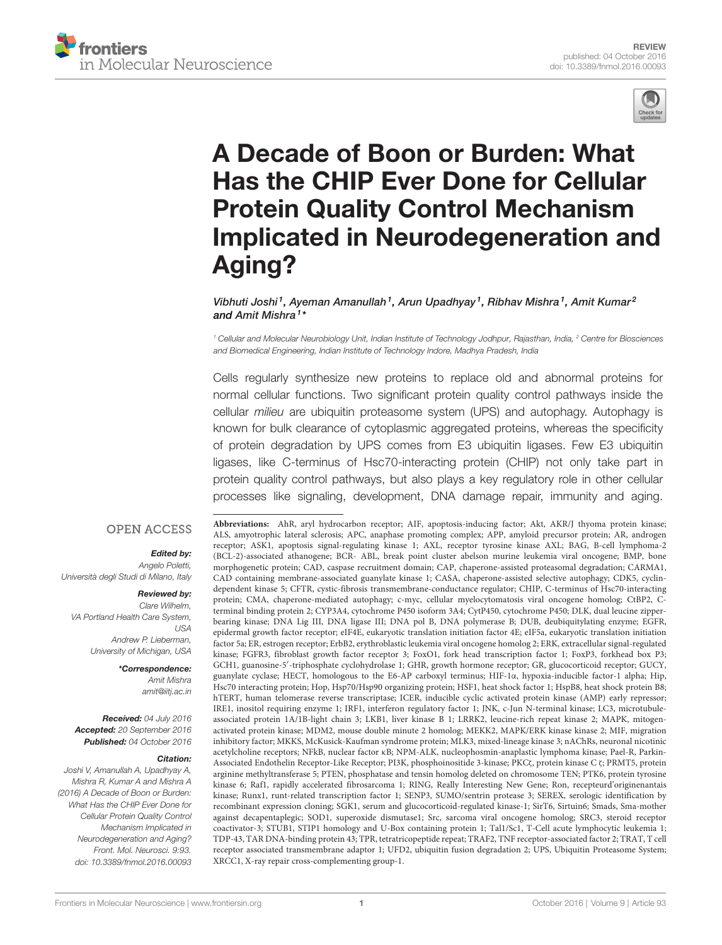



# A Decade of Boon or Burden: What Has the CHIP Ever Done for Cellular Protein Quality Control Mechanism Implicated in Neurodegeneration and Aging?

Vibhuti Joshi<sup>1</sup>, Ayeman Amanullah<sup>1</sup>, Arun Upadhyay<sup>1</sup>, Ribhav Mishra<sup>1</sup>, Amit Kumar<sup>2</sup> and Amit Mishra<sup>1</sup>\*

<sup>1</sup> Cellular and Molecular Neurobiology Unit, Indian Institute of Technology Jodhpur, Rajasthan, India, <sup>2</sup> Centre for Biosciences and Biomedical Engineering, Indian Institute of Technology Indore, Madhya Pradesh, India

Cells regularly synthesize new proteins to replace old and abnormal proteins for normal cellular functions. Two significant protein quality control pathways inside the cellular milieu are ubiquitin proteasome system (UPS) and autophagy. Autophagy is known for bulk clearance of cytoplasmic aggregated proteins, whereas the specificity of protein degradation by UPS comes from E3 ubiquitin ligases. Few E3 ubiquitin ligases, like C-terminus of Hsc70-interacting protein (CHIP) not only take part in protein quality control pathways, but also plays a key regulatory role in other cellular processes like signaling, development, DNA damage repair, immunity and aging.

#### **OPEN ACCESS**

#### Edited by:

Angelo Poletti, Università degli Studi di Milano, Italy

#### Reviewed by:

Clare Wilhelm, VA Portland Health Care System,  $IISA$ Andrew P. Lieberman, University of Michigan, USA

> \*Correspondence: Amit Mishra amit@iitj.ac.in

Received: 04 July 2016 Accepted: 20 September 2016 Published: 04 October 2016

#### Citation:

Joshi V, Amanullah A, Upadhyay A, Mishra R, Kumar A and Mishra A (2016) A Decade of Boon or Burden: What Has the CHIP Ever Done for Cellular Protein Quality Control Mechanism Implicated in Neurodegeneration and Aging? Front. Mol. Neurosci. 9:93. doi: 10.3389/fnmol.2016.00093

**Abbreviations:** AhR, aryl hydrocarbon receptor; AIF, apoptosis-inducing factor; Akt, AKR/J thyoma protein kinase; ALS, amyotrophic lateral sclerosis; APC, anaphase promoting complex; APP, amyloid precursor protein; AR, androgen receptor; ASK1, apoptosis signal-regulating kinase 1; AXL, receptor tyrosine kinase AXL; BAG, B-cell lymphoma-2 (BCL-2)-associated athanogene; BCR- ABL, break point cluster abelson murine leukemia viral oncogene; BMP, bone morphogenetic protein; CAD, caspase recruitment domain; CAP, chaperone-assisted proteasomal degradation; CARMA1, CAD containing membrane-associated guanylate kinase 1; CASA, chaperone-assisted selective autophagy; CDK5, cyclindependent kinase 5; CFTR, cystic-fibrosis transmembrane-conductance regulator; CHIP, C-terminus of Hsc70-interacting protein; CMA, chaperone-mediated autophagy; c-myc, cellular myelocytomatosis viral oncogene homolog; CtBP2, Cterminal binding protein 2; CYP3A4, cytochrome P450 isoform 3A4; CytP450, cytochrome P450; DLK, dual leucine zipperbearing kinase; DNA Lig III, DNA ligase III; DNA pol B, DNA polymerase B; DUB, deubiquitylating enzyme; EGFR, epidermal growth factor receptor; eIF4E, eukaryotic translation initiation factor 4E; eIF5a, eukaryotic translation initiation factor 5a; ER, estrogen receptor; ErbB2, erythroblastic leukemia viral oncogene homolog 2; ERK, extracellular signal-regulated kinase; FGFR3, fibroblast growth factor receptor 3; FoxO1, fork head transcription factor 1; FoxP3, forkhead box P3; GCH1, guanosine-5′ -triphosphate cyclohydrolase 1; GHR, growth hormone receptor; GR, glucocorticoid receptor; GUCY, guanylate cyclase; HECT, homologous to the E6-AP carboxyl terminus; HIF-1α, hypoxia-inducible factor-1 alpha; Hip, Hsc70 interacting protein; Hop, Hsp70/Hsp90 organizing protein; HSF1, heat shock factor 1; HspB8, heat shock protein B8; hTERT, human telomerase reverse transcriptase; ICER, inducible cyclic activated protein kinase (AMP) early repressor; IRE1, inositol requiring enzyme 1; IRF1, interferon regulatory factor 1; JNK, c-Jun N-terminal kinase; LC3, microtubuleassociated protein 1A/1B-light chain 3; LKB1, liver kinase B 1; LRRK2, leucine-rich repeat kinase 2; MAPK, mitogenactivated protein kinase; MDM2, mouse double minute 2 homolog; MEKK2, MAPK/ERK kinase kinase 2; MIF, migration inhibitory factor; MKKS, McKusick-Kaufman syndrome protein; MLK3, mixed-lineage kinase 3; nAChRs, neuronal nicotinic acetylcholine receptors; NFkB, nuclear factor κB; NPM-ALK, nucleophosmin-anaplastic lymphoma kinase; Pael-R, Parkin-Associated Endothelin Receptor-Like Receptor; PI3K, phosphoinositide 3-kinase; PKCζ, protein kinase C ζ; PRMT5, protein arginine methyltransferase 5; PTEN, phosphatase and tensin homolog deleted on chromosome TEN; PTK6, protein tyrosine kinase 6; Raf1, rapidly accelerated fibrosarcoma 1; RING, Really Interesting New Gene; Ron, recepteurd'originenantais kinase; Runx1, runt-related transcription factor 1; SENP3, SUMO/sentrin protease 3; SEREX, serologic identification by recombinant expression cloning; SGK1, serum and glucocorticoid-regulated kinase-1; SirT6, Sirtuin6; Smads, Sma-mother against decapentaplegic; SOD1, superoxide dismutase1; Src, sarcoma viral oncogene homolog; SRC3, steroid receptor coactivator-3; STUB1, STIP1 homology and U-Box containing protein 1; Tal1/Sc1, T-Cell acute lymphocytic leukemia 1; TDP-43, TAR DNA-binding protein 43; TPR, tetratricopeptide repeat; TRAF2, TNF receptor-associated factor 2; TRAT, T cell receptor associated transmembrane adaptor 1; UFD2, ubiquitin fusion degradation 2; UPS, Ubiquitin Proteasome System; XRCC1, X-ray repair cross-complementing group-1.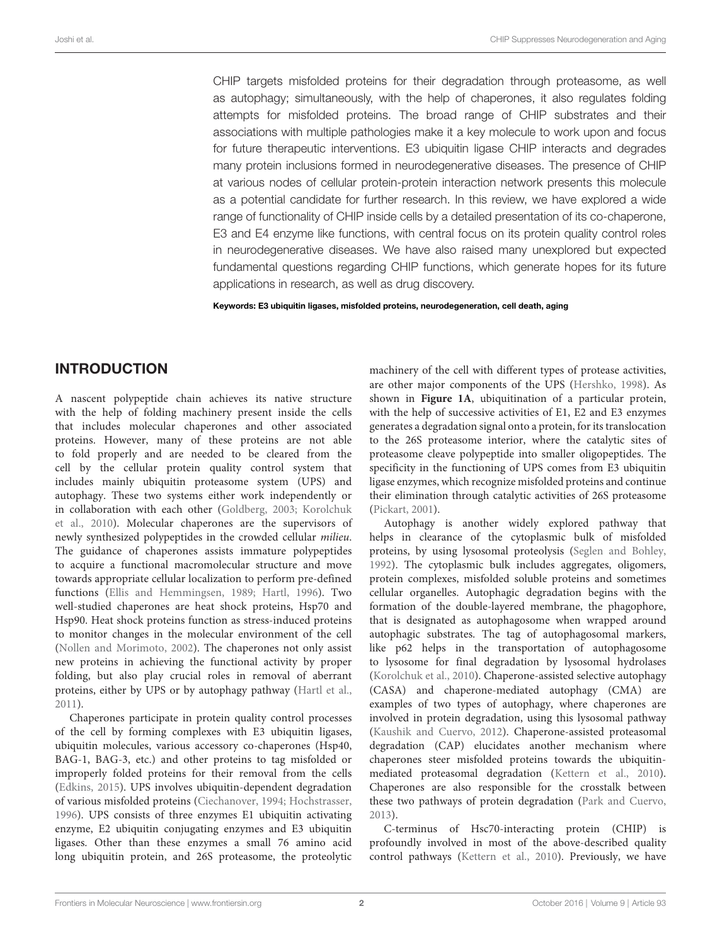CHIP targets misfolded proteins for their degradation through proteasome, as well as autophagy; simultaneously, with the help of chaperones, it also regulates folding attempts for misfolded proteins. The broad range of CHIP substrates and their associations with multiple pathologies make it a key molecule to work upon and focus for future therapeutic interventions. E3 ubiquitin ligase CHIP interacts and degrades many protein inclusions formed in neurodegenerative diseases. The presence of CHIP at various nodes of cellular protein-protein interaction network presents this molecule as a potential candidate for further research. In this review, we have explored a wide range of functionality of CHIP inside cells by a detailed presentation of its co-chaperone, E3 and E4 enzyme like functions, with central focus on its protein quality control roles in neurodegenerative diseases. We have also raised many unexplored but expected fundamental questions regarding CHIP functions, which generate hopes for its future applications in research, as well as drug discovery.

Keywords: E3 ubiquitin ligases, misfolded proteins, neurodegeneration, cell death, aging

### INTRODUCTION

A nascent polypeptide chain achieves its native structure with the help of folding machinery present inside the cells that includes molecular chaperones and other associated proteins. However, many of these proteins are not able to fold properly and are needed to be cleared from the cell by the cellular protein quality control system that includes mainly ubiquitin proteasome system (UPS) and autophagy. These two systems either work independently or in collaboration with each other (Goldberg, 2003; Korolchuk et al., 2010). Molecular chaperones are the supervisors of newly synthesized polypeptides in the crowded cellular milieu. The guidance of chaperones assists immature polypeptides to acquire a functional macromolecular structure and move towards appropriate cellular localization to perform pre-defined functions (Ellis and Hemmingsen, 1989; Hartl, 1996). Two well-studied chaperones are heat shock proteins, Hsp70 and Hsp90. Heat shock proteins function as stress-induced proteins to monitor changes in the molecular environment of the cell (Nollen and Morimoto, 2002). The chaperones not only assist new proteins in achieving the functional activity by proper folding, but also play crucial roles in removal of aberrant proteins, either by UPS or by autophagy pathway (Hartl et al., 2011).

Chaperones participate in protein quality control processes of the cell by forming complexes with E3 ubiquitin ligases, ubiquitin molecules, various accessory co-chaperones (Hsp40, BAG-1, BAG-3, etc.) and other proteins to tag misfolded or improperly folded proteins for their removal from the cells (Edkins, 2015). UPS involves ubiquitin-dependent degradation of various misfolded proteins (Ciechanover, 1994; Hochstrasser, 1996). UPS consists of three enzymes E1 ubiquitin activating enzyme, E2 ubiquitin conjugating enzymes and E3 ubiquitin ligases. Other than these enzymes a small 76 amino acid long ubiquitin protein, and 26S proteasome, the proteolytic machinery of the cell with different types of protease activities, are other major components of the UPS (Hershko, 1998). As shown in **Figure 1A**, ubiquitination of a particular protein, with the help of successive activities of E1, E2 and E3 enzymes generates a degradation signal onto a protein, for its translocation to the 26S proteasome interior, where the catalytic sites of proteasome cleave polypeptide into smaller oligopeptides. The specificity in the functioning of UPS comes from E3 ubiquitin ligase enzymes, which recognize misfolded proteins and continue their elimination through catalytic activities of 26S proteasome (Pickart, 2001).

Autophagy is another widely explored pathway that helps in clearance of the cytoplasmic bulk of misfolded proteins, by using lysosomal proteolysis (Seglen and Bohley, 1992). The cytoplasmic bulk includes aggregates, oligomers, protein complexes, misfolded soluble proteins and sometimes cellular organelles. Autophagic degradation begins with the formation of the double-layered membrane, the phagophore, that is designated as autophagosome when wrapped around autophagic substrates. The tag of autophagosomal markers, like p62 helps in the transportation of autophagosome to lysosome for final degradation by lysosomal hydrolases (Korolchuk et al., 2010). Chaperone-assisted selective autophagy (CASA) and chaperone-mediated autophagy (CMA) are examples of two types of autophagy, where chaperones are involved in protein degradation, using this lysosomal pathway (Kaushik and Cuervo, 2012). Chaperone-assisted proteasomal degradation (CAP) elucidates another mechanism where chaperones steer misfolded proteins towards the ubiquitinmediated proteasomal degradation (Kettern et al., 2010). Chaperones are also responsible for the crosstalk between these two pathways of protein degradation (Park and Cuervo, 2013).

C-terminus of Hsc70-interacting protein (CHIP) is profoundly involved in most of the above-described quality control pathways (Kettern et al., 2010). Previously, we have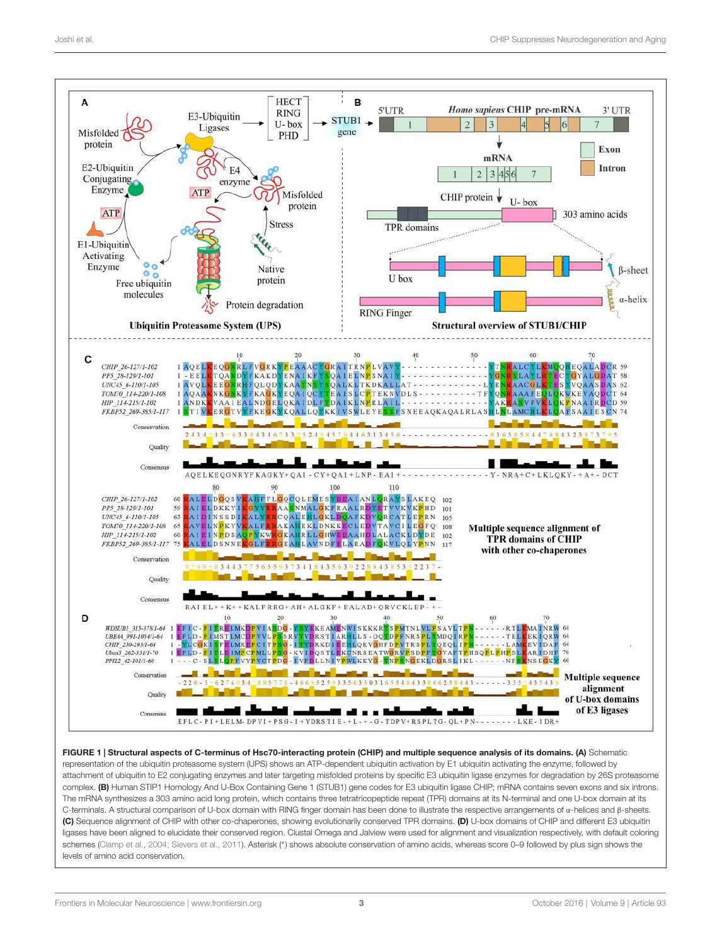

FIGURE 1 | Structural aspects of C-terminus of Hsc70-interacting protein (CHIP) and multiple sequence analysis of its domains. (A) Schematic representation of the ubiquitin proteasome system (UPS) shows an ATP-dependent ubiquitin activation by E1 ubiquitin activating the enzyme, followed by attachment of ubiquitin to E2 conjugating enzymes and later targeting misfolded proteins by specific E3 ubiquitin ligase enzymes for degradation by 26S proteasome complex. (B) Human STIP1 Homology And U-Box Containing Gene 1 (STUB1) gene codes for E3 ubiquitin ligase CHIP; mRNA contains seven exons and six introns. The mRNA synthesizes a 303 amino acid long protein, which contains three tetratricopeptide repeat (TPR) domains at its N-terminal and one U-box domain at its C-terminals. A structural comparison of U-box domain with RING finger domain has been done to illustrate the respective arrangements of α-helices and β-sheets. (C) Sequence alignment of CHIP with other co-chaperones, showing evolutionarily conserved TPR domains. (D) U-box domains of CHIP and different E3 ubiquitin ligases have been aligned to elucidate their conserved region. Clustal Omega and Jalview were used for alignment and visualization respectively, with default coloring schemes (Clamp et al., 2004; Sievers et al., 2011). Asterisk (\*) shows absolute conservation of amino acids, whereas score 0–9 followed by plus sign shows the levels of amino acid conservation.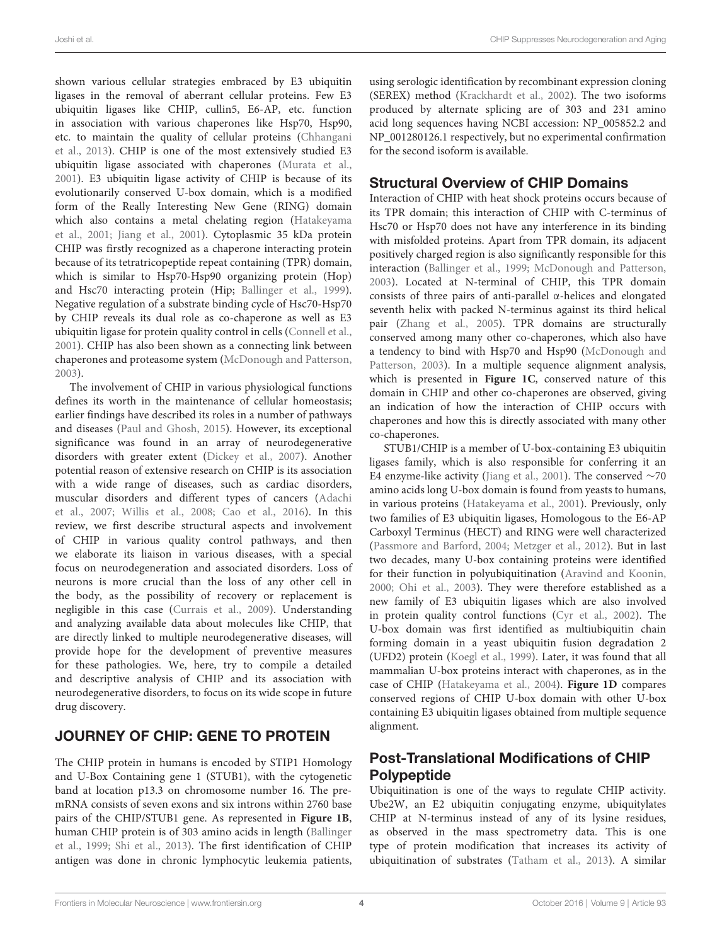shown various cellular strategies embraced by E3 ubiquitin ligases in the removal of aberrant cellular proteins. Few E3 ubiquitin ligases like CHIP, cullin5, E6-AP, etc. function in association with various chaperones like Hsp70, Hsp90, etc. to maintain the quality of cellular proteins (Chhangani et al., 2013). CHIP is one of the most extensively studied E3 ubiquitin ligase associated with chaperones (Murata et al., 2001). E3 ubiquitin ligase activity of CHIP is because of its evolutionarily conserved U-box domain, which is a modified form of the Really Interesting New Gene (RING) domain which also contains a metal chelating region (Hatakeyama et al., 2001; Jiang et al., 2001). Cytoplasmic 35 kDa protein CHIP was firstly recognized as a chaperone interacting protein because of its tetratricopeptide repeat containing (TPR) domain, which is similar to Hsp70-Hsp90 organizing protein (Hop) and Hsc70 interacting protein (Hip; Ballinger et al., 1999). Negative regulation of a substrate binding cycle of Hsc70-Hsp70 by CHIP reveals its dual role as co-chaperone as well as E3 ubiquitin ligase for protein quality control in cells (Connell et al., 2001). CHIP has also been shown as a connecting link between chaperones and proteasome system (McDonough and Patterson, 2003).

The involvement of CHIP in various physiological functions defines its worth in the maintenance of cellular homeostasis; earlier findings have described its roles in a number of pathways and diseases (Paul and Ghosh, 2015). However, its exceptional significance was found in an array of neurodegenerative disorders with greater extent (Dickey et al., 2007). Another potential reason of extensive research on CHIP is its association with a wide range of diseases, such as cardiac disorders, muscular disorders and different types of cancers (Adachi et al., 2007; Willis et al., 2008; Cao et al., 2016). In this review, we first describe structural aspects and involvement of CHIP in various quality control pathways, and then we elaborate its liaison in various diseases, with a special focus on neurodegeneration and associated disorders. Loss of neurons is more crucial than the loss of any other cell in the body, as the possibility of recovery or replacement is negligible in this case (Currais et al., 2009). Understanding and analyzing available data about molecules like CHIP, that are directly linked to multiple neurodegenerative diseases, will provide hope for the development of preventive measures for these pathologies. We, here, try to compile a detailed and descriptive analysis of CHIP and its association with neurodegenerative disorders, to focus on its wide scope in future drug discovery.

## JOURNEY OF CHIP: GENE TO PROTEIN

The CHIP protein in humans is encoded by STIP1 Homology and U-Box Containing gene 1 (STUB1), with the cytogenetic band at location p13.3 on chromosome number 16. The premRNA consists of seven exons and six introns within 2760 base pairs of the CHIP/STUB1 gene. As represented in **Figure 1B**, human CHIP protein is of 303 amino acids in length (Ballinger et al., 1999; Shi et al., 2013). The first identification of CHIP antigen was done in chronic lymphocytic leukemia patients,

using serologic identification by recombinant expression cloning (SEREX) method (Krackhardt et al., 2002). The two isoforms produced by alternate splicing are of 303 and 231 amino acid long sequences having NCBI accession: NP\_005852.2 and NP\_001280126.1 respectively, but no experimental confirmation for the second isoform is available.

### Structural Overview of CHIP Domains

Interaction of CHIP with heat shock proteins occurs because of its TPR domain; this interaction of CHIP with C-terminus of Hsc70 or Hsp70 does not have any interference in its binding with misfolded proteins. Apart from TPR domain, its adjacent positively charged region is also significantly responsible for this interaction (Ballinger et al., 1999; McDonough and Patterson, 2003). Located at N-terminal of CHIP, this TPR domain consists of three pairs of anti-parallel α-helices and elongated seventh helix with packed N-terminus against its third helical pair (Zhang et al., 2005). TPR domains are structurally conserved among many other co-chaperones, which also have a tendency to bind with Hsp70 and Hsp90 (McDonough and Patterson, 2003). In a multiple sequence alignment analysis, which is presented in **Figure 1C**, conserved nature of this domain in CHIP and other co-chaperones are observed, giving an indication of how the interaction of CHIP occurs with chaperones and how this is directly associated with many other co-chaperones.

STUB1/CHIP is a member of U-box-containing E3 ubiquitin ligases family, which is also responsible for conferring it an E4 enzyme-like activity (Jiang et al., 2001). The conserved ∼70 amino acids long U-box domain is found from yeasts to humans, in various proteins (Hatakeyama et al., 2001). Previously, only two families of E3 ubiquitin ligases, Homologous to the E6-AP Carboxyl Terminus (HECT) and RING were well characterized (Passmore and Barford, 2004; Metzger et al., 2012). But in last two decades, many U-box containing proteins were identified for their function in polyubiquitination (Aravind and Koonin, 2000; Ohi et al., 2003). They were therefore established as a new family of E3 ubiquitin ligases which are also involved in protein quality control functions (Cyr et al., 2002). The U-box domain was first identified as multiubiquitin chain forming domain in a yeast ubiquitin fusion degradation 2 (UFD2) protein (Koegl et al., 1999). Later, it was found that all mammalian U-box proteins interact with chaperones, as in the case of CHIP (Hatakeyama et al., 2004). **Figure 1D** compares conserved regions of CHIP U-box domain with other U-box containing E3 ubiquitin ligases obtained from multiple sequence alignment.

# Post-Translational Modifications of CHIP Polypeptide

Ubiquitination is one of the ways to regulate CHIP activity. Ube2W, an E2 ubiquitin conjugating enzyme, ubiquitylates CHIP at N-terminus instead of any of its lysine residues, as observed in the mass spectrometry data. This is one type of protein modification that increases its activity of ubiquitination of substrates (Tatham et al., 2013). A similar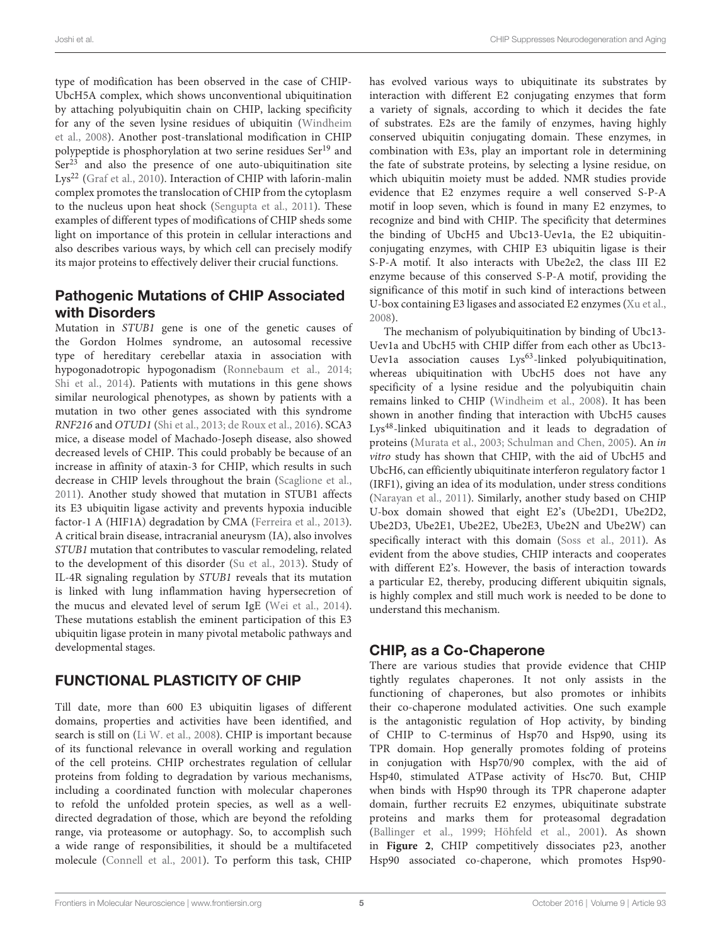type of modification has been observed in the case of CHIP-UbcH5A complex, which shows unconventional ubiquitination by attaching polyubiquitin chain on CHIP, lacking specificity for any of the seven lysine residues of ubiquitin (Windheim et al., 2008). Another post-translational modification in CHIP polypeptide is phosphorylation at two serine residues Ser<sup>19</sup> and  $Ser<sup>23</sup>$  and also the presence of one auto-ubiquitination site Lys<sup>22</sup> (Graf et al., 2010). Interaction of CHIP with laforin-malin complex promotes the translocation of CHIP from the cytoplasm to the nucleus upon heat shock (Sengupta et al., 2011). These examples of different types of modifications of CHIP sheds some light on importance of this protein in cellular interactions and also describes various ways, by which cell can precisely modify its major proteins to effectively deliver their crucial functions.

### Pathogenic Mutations of CHIP Associated with Disorders

Mutation in STUB1 gene is one of the genetic causes of the Gordon Holmes syndrome, an autosomal recessive type of hereditary cerebellar ataxia in association with hypogonadotropic hypogonadism (Ronnebaum et al., 2014; Shi et al., 2014). Patients with mutations in this gene shows similar neurological phenotypes, as shown by patients with a mutation in two other genes associated with this syndrome RNF216 and OTUD1 (Shi et al., 2013; de Roux et al., 2016). SCA3 mice, a disease model of Machado-Joseph disease, also showed decreased levels of CHIP. This could probably be because of an increase in affinity of ataxin-3 for CHIP, which results in such decrease in CHIP levels throughout the brain (Scaglione et al., 2011). Another study showed that mutation in STUB1 affects its E3 ubiquitin ligase activity and prevents hypoxia inducible factor-1 A (HIF1A) degradation by CMA (Ferreira et al., 2013). A critical brain disease, intracranial aneurysm (IA), also involves STUB1 mutation that contributes to vascular remodeling, related to the development of this disorder (Su et al., 2013). Study of IL-4R signaling regulation by STUB1 reveals that its mutation is linked with lung inflammation having hypersecretion of the mucus and elevated level of serum IgE (Wei et al., 2014). These mutations establish the eminent participation of this E3 ubiquitin ligase protein in many pivotal metabolic pathways and developmental stages.

## FUNCTIONAL PLASTICITY OF CHIP

Till date, more than 600 E3 ubiquitin ligases of different domains, properties and activities have been identified, and search is still on (Li W. et al., 2008). CHIP is important because of its functional relevance in overall working and regulation of the cell proteins. CHIP orchestrates regulation of cellular proteins from folding to degradation by various mechanisms, including a coordinated function with molecular chaperones to refold the unfolded protein species, as well as a welldirected degradation of those, which are beyond the refolding range, via proteasome or autophagy. So, to accomplish such a wide range of responsibilities, it should be a multifaceted molecule (Connell et al., 2001). To perform this task, CHIP has evolved various ways to ubiquitinate its substrates by interaction with different E2 conjugating enzymes that form a variety of signals, according to which it decides the fate of substrates. E2s are the family of enzymes, having highly conserved ubiquitin conjugating domain. These enzymes, in combination with E3s, play an important role in determining the fate of substrate proteins, by selecting a lysine residue, on which ubiquitin moiety must be added. NMR studies provide evidence that E2 enzymes require a well conserved S-P-A motif in loop seven, which is found in many E2 enzymes, to recognize and bind with CHIP. The specificity that determines the binding of UbcH5 and Ubc13-Uev1a, the E2 ubiquitinconjugating enzymes, with CHIP E3 ubiquitin ligase is their S-P-A motif. It also interacts with Ube2e2, the class III E2 enzyme because of this conserved S-P-A motif, providing the significance of this motif in such kind of interactions between U-box containing E3 ligases and associated E2 enzymes (Xu et al., 2008).

The mechanism of polyubiquitination by binding of Ubc13- Uev1a and UbcH5 with CHIP differ from each other as Ubc13- Uev1a association causes Lys<sup>63</sup>-linked polyubiquitination, whereas ubiquitination with UbcH5 does not have any specificity of a lysine residue and the polyubiquitin chain remains linked to CHIP (Windheim et al., 2008). It has been shown in another finding that interaction with UbcH5 causes Lys48-linked ubiquitination and it leads to degradation of proteins (Murata et al., 2003; Schulman and Chen, 2005). An in vitro study has shown that CHIP, with the aid of UbcH5 and UbcH6, can efficiently ubiquitinate interferon regulatory factor 1 (IRF1), giving an idea of its modulation, under stress conditions (Narayan et al., 2011). Similarly, another study based on CHIP U-box domain showed that eight E2's (Ube2D1, Ube2D2, Ube2D3, Ube2E1, Ube2E2, Ube2E3, Ube2N and Ube2W) can specifically interact with this domain (Soss et al., 2011). As evident from the above studies, CHIP interacts and cooperates with different E2's. However, the basis of interaction towards a particular E2, thereby, producing different ubiquitin signals, is highly complex and still much work is needed to be done to understand this mechanism.

## CHIP, as a Co-Chaperone

There are various studies that provide evidence that CHIP tightly regulates chaperones. It not only assists in the functioning of chaperones, but also promotes or inhibits their co-chaperone modulated activities. One such example is the antagonistic regulation of Hop activity, by binding of CHIP to C-terminus of Hsp70 and Hsp90, using its TPR domain. Hop generally promotes folding of proteins in conjugation with Hsp70/90 complex, with the aid of Hsp40, stimulated ATPase activity of Hsc70. But, CHIP when binds with Hsp90 through its TPR chaperone adapter domain, further recruits E2 enzymes, ubiquitinate substrate proteins and marks them for proteasomal degradation (Ballinger et al., 1999; Höhfeld et al., 2001). As shown in **Figure 2**, CHIP competitively dissociates p23, another Hsp90 associated co-chaperone, which promotes Hsp90-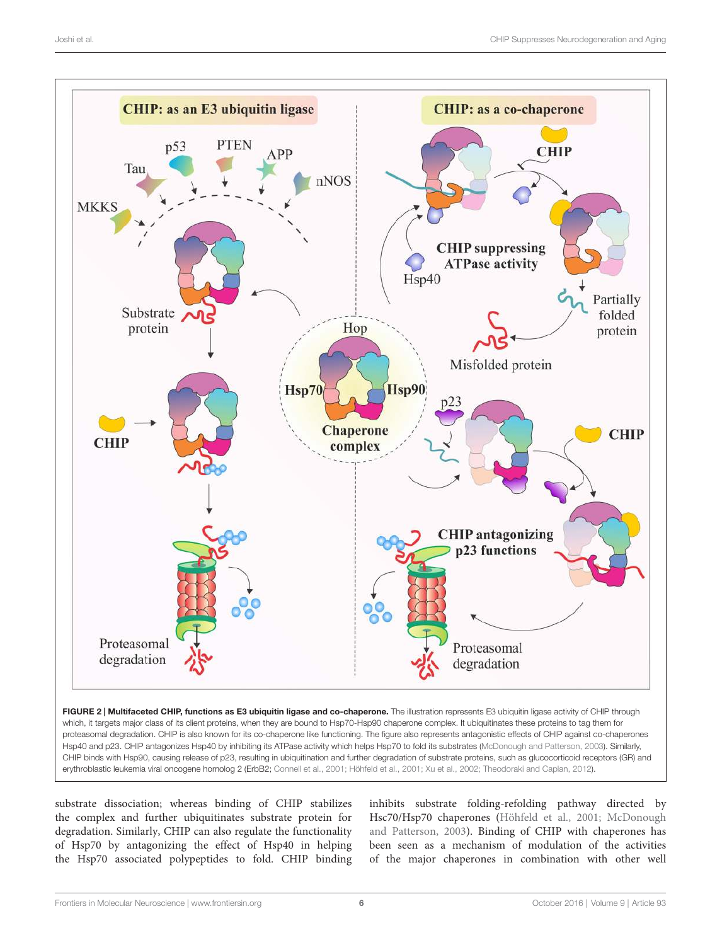

substrate dissociation; whereas binding of CHIP stabilizes the complex and further ubiquitinates substrate protein for degradation. Similarly, CHIP can also regulate the functionality of Hsp70 by antagonizing the effect of Hsp40 in helping the Hsp70 associated polypeptides to fold. CHIP binding

inhibits substrate folding-refolding pathway directed by Hsc70/Hsp70 chaperones (Höhfeld et al., 2001; McDonough and Patterson, 2003). Binding of CHIP with chaperones has been seen as a mechanism of modulation of the activities of the major chaperones in combination with other well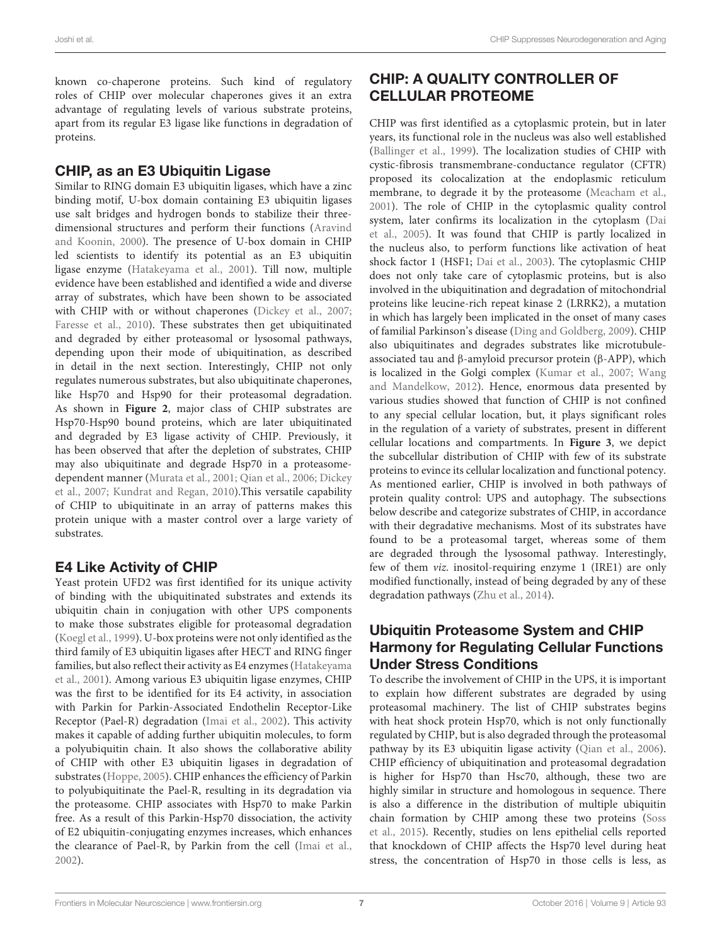known co-chaperone proteins. Such kind of regulatory roles of CHIP over molecular chaperones gives it an extra advantage of regulating levels of various substrate proteins, apart from its regular E3 ligase like functions in degradation of proteins.

### CHIP, as an E3 Ubiquitin Ligase

Similar to RING domain E3 ubiquitin ligases, which have a zinc binding motif, U-box domain containing E3 ubiquitin ligases use salt bridges and hydrogen bonds to stabilize their threedimensional structures and perform their functions (Aravind and Koonin, 2000). The presence of U-box domain in CHIP led scientists to identify its potential as an E3 ubiquitin ligase enzyme (Hatakeyama et al., 2001). Till now, multiple evidence have been established and identified a wide and diverse array of substrates, which have been shown to be associated with CHIP with or without chaperones (Dickey et al., 2007; Faresse et al., 2010). These substrates then get ubiquitinated and degraded by either proteasomal or lysosomal pathways, depending upon their mode of ubiquitination, as described in detail in the next section. Interestingly, CHIP not only regulates numerous substrates, but also ubiquitinate chaperones, like Hsp70 and Hsp90 for their proteasomal degradation. As shown in **Figure 2**, major class of CHIP substrates are Hsp70-Hsp90 bound proteins, which are later ubiquitinated and degraded by E3 ligase activity of CHIP. Previously, it has been observed that after the depletion of substrates, CHIP may also ubiquitinate and degrade Hsp70 in a proteasomedependent manner (Murata et al., 2001; Qian et al., 2006; Dickey et al., 2007; Kundrat and Regan, 2010).This versatile capability of CHIP to ubiquitinate in an array of patterns makes this protein unique with a master control over a large variety of substrates.

## E4 Like Activity of CHIP

Yeast protein UFD2 was first identified for its unique activity of binding with the ubiquitinated substrates and extends its ubiquitin chain in conjugation with other UPS components to make those substrates eligible for proteasomal degradation (Koegl et al., 1999). U-box proteins were not only identified as the third family of E3 ubiquitin ligases after HECT and RING finger families, but also reflect their activity as E4 enzymes (Hatakeyama et al., 2001). Among various E3 ubiquitin ligase enzymes, CHIP was the first to be identified for its E4 activity, in association with Parkin for Parkin-Associated Endothelin Receptor-Like Receptor (Pael-R) degradation (Imai et al., 2002). This activity makes it capable of adding further ubiquitin molecules, to form a polyubiquitin chain. It also shows the collaborative ability of CHIP with other E3 ubiquitin ligases in degradation of substrates (Hoppe, 2005). CHIP enhances the efficiency of Parkin to polyubiquitinate the Pael-R, resulting in its degradation via the proteasome. CHIP associates with Hsp70 to make Parkin free. As a result of this Parkin-Hsp70 dissociation, the activity of E2 ubiquitin-conjugating enzymes increases, which enhances the clearance of Pael-R, by Parkin from the cell (Imai et al., 2002).

## CHIP: A QUALITY CONTROLLER OF CELLULAR PROTEOME

CHIP was first identified as a cytoplasmic protein, but in later years, its functional role in the nucleus was also well established (Ballinger et al., 1999). The localization studies of CHIP with cystic-fibrosis transmembrane-conductance regulator (CFTR) proposed its colocalization at the endoplasmic reticulum membrane, to degrade it by the proteasome (Meacham et al., 2001). The role of CHIP in the cytoplasmic quality control system, later confirms its localization in the cytoplasm (Dai et al., 2005). It was found that CHIP is partly localized in the nucleus also, to perform functions like activation of heat shock factor 1 (HSF1; Dai et al., 2003). The cytoplasmic CHIP does not only take care of cytoplasmic proteins, but is also involved in the ubiquitination and degradation of mitochondrial proteins like leucine-rich repeat kinase 2 (LRRK2), a mutation in which has largely been implicated in the onset of many cases of familial Parkinson's disease (Ding and Goldberg, 2009). CHIP also ubiquitinates and degrades substrates like microtubuleassociated tau and β-amyloid precursor protein (β-APP), which is localized in the Golgi complex (Kumar et al., 2007; Wang and Mandelkow, 2012). Hence, enormous data presented by various studies showed that function of CHIP is not confined to any special cellular location, but, it plays significant roles in the regulation of a variety of substrates, present in different cellular locations and compartments. In **Figure 3**, we depict the subcellular distribution of CHIP with few of its substrate proteins to evince its cellular localization and functional potency. As mentioned earlier, CHIP is involved in both pathways of protein quality control: UPS and autophagy. The subsections below describe and categorize substrates of CHIP, in accordance with their degradative mechanisms. Most of its substrates have found to be a proteasomal target, whereas some of them are degraded through the lysosomal pathway. Interestingly, few of them viz. inositol-requiring enzyme 1 (IRE1) are only modified functionally, instead of being degraded by any of these degradation pathways (Zhu et al., 2014).

### Ubiquitin Proteasome System and CHIP Harmony for Regulating Cellular Functions Under Stress Conditions

To describe the involvement of CHIP in the UPS, it is important to explain how different substrates are degraded by using proteasomal machinery. The list of CHIP substrates begins with heat shock protein Hsp70, which is not only functionally regulated by CHIP, but is also degraded through the proteasomal pathway by its E3 ubiquitin ligase activity (Qian et al., 2006). CHIP efficiency of ubiquitination and proteasomal degradation is higher for Hsp70 than Hsc70, although, these two are highly similar in structure and homologous in sequence. There is also a difference in the distribution of multiple ubiquitin chain formation by CHIP among these two proteins (Soss et al., 2015). Recently, studies on lens epithelial cells reported that knockdown of CHIP affects the Hsp70 level during heat stress, the concentration of Hsp70 in those cells is less, as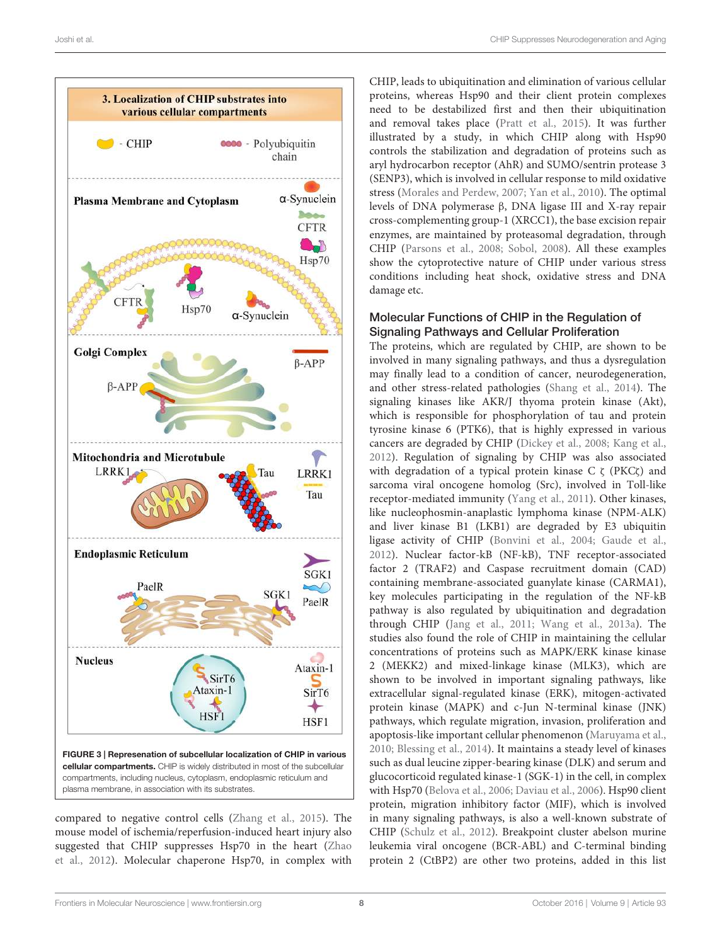

compared to negative control cells (Zhang et al., 2015). The mouse model of ischemia/reperfusion-induced heart injury also suggested that CHIP suppresses Hsp70 in the heart (Zhao et al., 2012). Molecular chaperone Hsp70, in complex with

CHIP, leads to ubiquitination and elimination of various cellular proteins, whereas Hsp90 and their client protein complexes need to be destabilized first and then their ubiquitination and removal takes place (Pratt et al., 2015). It was further illustrated by a study, in which CHIP along with Hsp90 controls the stabilization and degradation of proteins such as aryl hydrocarbon receptor (AhR) and SUMO/sentrin protease 3 (SENP3), which is involved in cellular response to mild oxidative stress (Morales and Perdew, 2007; Yan et al., 2010). The optimal levels of DNA polymerase β, DNA ligase III and X-ray repair cross-complementing group-1 (XRCC1), the base excision repair enzymes, are maintained by proteasomal degradation, through CHIP (Parsons et al., 2008; Sobol, 2008). All these examples show the cytoprotective nature of CHIP under various stress conditions including heat shock, oxidative stress and DNA damage etc.

### Molecular Functions of CHIP in the Regulation of Signaling Pathways and Cellular Proliferation

The proteins, which are regulated by CHIP, are shown to be involved in many signaling pathways, and thus a dysregulation may finally lead to a condition of cancer, neurodegeneration, and other stress-related pathologies (Shang et al., 2014). The signaling kinases like AKR/J thyoma protein kinase (Akt), which is responsible for phosphorylation of tau and protein tyrosine kinase 6 (PTK6), that is highly expressed in various cancers are degraded by CHIP (Dickey et al., 2008; Kang et al., 2012). Regulation of signaling by CHIP was also associated with degradation of a typical protein kinase C ζ (PKCζ) and sarcoma viral oncogene homolog (Src), involved in Toll-like receptor-mediated immunity (Yang et al., 2011). Other kinases, like nucleophosmin-anaplastic lymphoma kinase (NPM-ALK) and liver kinase B1 (LKB1) are degraded by E3 ubiquitin ligase activity of CHIP (Bonvini et al., 2004; Gaude et al., 2012). Nuclear factor-kB (NF-kB), TNF receptor-associated factor 2 (TRAF2) and Caspase recruitment domain (CAD) containing membrane-associated guanylate kinase (CARMA1), key molecules participating in the regulation of the NF-kB pathway is also regulated by ubiquitination and degradation through CHIP (Jang et al., 2011; Wang et al., 2013a). The studies also found the role of CHIP in maintaining the cellular concentrations of proteins such as MAPK/ERK kinase kinase 2 (MEKK2) and mixed-linkage kinase (MLK3), which are shown to be involved in important signaling pathways, like extracellular signal-regulated kinase (ERK), mitogen-activated protein kinase (MAPK) and c-Jun N-terminal kinase (JNK) pathways, which regulate migration, invasion, proliferation and apoptosis-like important cellular phenomenon (Maruyama et al., 2010; Blessing et al., 2014). It maintains a steady level of kinases such as dual leucine zipper-bearing kinase (DLK) and serum and glucocorticoid regulated kinase-1 (SGK-1) in the cell, in complex with Hsp70 (Belova et al., 2006; Daviau et al., 2006). Hsp90 client protein, migration inhibitory factor (MIF), which is involved in many signaling pathways, is also a well-known substrate of CHIP (Schulz et al., 2012). Breakpoint cluster abelson murine leukemia viral oncogene (BCR-ABL) and C-terminal binding protein 2 (CtBP2) are other two proteins, added in this list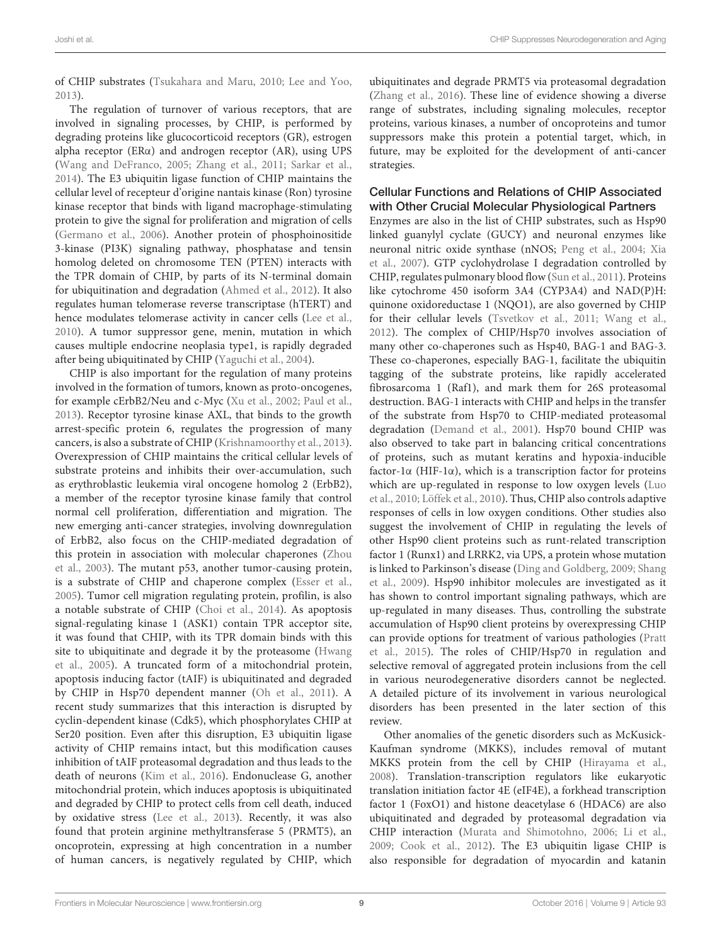of CHIP substrates (Tsukahara and Maru, 2010; Lee and Yoo, 2013).

The regulation of turnover of various receptors, that are involved in signaling processes, by CHIP, is performed by degrading proteins like glucocorticoid receptors (GR), estrogen alpha receptor ( $ER\alpha$ ) and androgen receptor ( $AR$ ), using UPS (Wang and DeFranco, 2005; Zhang et al., 2011; Sarkar et al., 2014). The E3 ubiquitin ligase function of CHIP maintains the cellular level of recepteur d'origine nantais kinase (Ron) tyrosine kinase receptor that binds with ligand macrophage-stimulating protein to give the signal for proliferation and migration of cells (Germano et al., 2006). Another protein of phosphoinositide 3-kinase (PI3K) signaling pathway, phosphatase and tensin homolog deleted on chromosome TEN (PTEN) interacts with the TPR domain of CHIP, by parts of its N-terminal domain for ubiquitination and degradation (Ahmed et al., 2012). It also regulates human telomerase reverse transcriptase (hTERT) and hence modulates telomerase activity in cancer cells (Lee et al., 2010). A tumor suppressor gene, menin, mutation in which causes multiple endocrine neoplasia type1, is rapidly degraded after being ubiquitinated by CHIP (Yaguchi et al., 2004).

CHIP is also important for the regulation of many proteins involved in the formation of tumors, known as proto-oncogenes, for example cErbB2/Neu and c-Myc (Xu et al., 2002; Paul et al., 2013). Receptor tyrosine kinase AXL, that binds to the growth arrest-specific protein 6, regulates the progression of many cancers, is also a substrate of CHIP (Krishnamoorthy et al., 2013). Overexpression of CHIP maintains the critical cellular levels of substrate proteins and inhibits their over-accumulation, such as erythroblastic leukemia viral oncogene homolog 2 (ErbB2), a member of the receptor tyrosine kinase family that control normal cell proliferation, differentiation and migration. The new emerging anti-cancer strategies, involving downregulation of ErbB2, also focus on the CHIP-mediated degradation of this protein in association with molecular chaperones (Zhou et al., 2003). The mutant p53, another tumor-causing protein, is a substrate of CHIP and chaperone complex (Esser et al., 2005). Tumor cell migration regulating protein, profilin, is also a notable substrate of CHIP (Choi et al., 2014). As apoptosis signal-regulating kinase 1 (ASK1) contain TPR acceptor site, it was found that CHIP, with its TPR domain binds with this site to ubiquitinate and degrade it by the proteasome (Hwang et al., 2005). A truncated form of a mitochondrial protein, apoptosis inducing factor (tAIF) is ubiquitinated and degraded by CHIP in Hsp70 dependent manner (Oh et al., 2011). A recent study summarizes that this interaction is disrupted by cyclin-dependent kinase (Cdk5), which phosphorylates CHIP at Ser20 position. Even after this disruption, E3 ubiquitin ligase activity of CHIP remains intact, but this modification causes inhibition of tAIF proteasomal degradation and thus leads to the death of neurons (Kim et al., 2016). Endonuclease G, another mitochondrial protein, which induces apoptosis is ubiquitinated and degraded by CHIP to protect cells from cell death, induced by oxidative stress (Lee et al., 2013). Recently, it was also found that protein arginine methyltransferase 5 (PRMT5), an oncoprotein, expressing at high concentration in a number of human cancers, is negatively regulated by CHIP, which ubiquitinates and degrade PRMT5 via proteasomal degradation (Zhang et al., 2016). These line of evidence showing a diverse range of substrates, including signaling molecules, receptor proteins, various kinases, a number of oncoproteins and tumor suppressors make this protein a potential target, which, in future, may be exploited for the development of anti-cancer strategies.

### Cellular Functions and Relations of CHIP Associated with Other Crucial Molecular Physiological Partners

Enzymes are also in the list of CHIP substrates, such as Hsp90 linked guanylyl cyclate (GUCY) and neuronal enzymes like neuronal nitric oxide synthase (nNOS; Peng et al., 2004; Xia et al., 2007). GTP cyclohydrolase I degradation controlled by CHIP, regulates pulmonary blood flow (Sun et al., 2011). Proteins like cytochrome 450 isoform 3A4 (CYP3A4) and NAD(P)H: quinone oxidoreductase 1 (NQO1), are also governed by CHIP for their cellular levels (Tsvetkov et al., 2011; Wang et al., 2012). The complex of CHIP/Hsp70 involves association of many other co-chaperones such as Hsp40, BAG-1 and BAG-3. These co-chaperones, especially BAG-1, facilitate the ubiquitin tagging of the substrate proteins, like rapidly accelerated fibrosarcoma 1 (Raf1), and mark them for 26S proteasomal destruction. BAG-1 interacts with CHIP and helps in the transfer of the substrate from Hsp70 to CHIP-mediated proteasomal degradation (Demand et al., 2001). Hsp70 bound CHIP was also observed to take part in balancing critical concentrations of proteins, such as mutant keratins and hypoxia-inducible factor-1α (HIF-1α), which is a transcription factor for proteins which are up-regulated in response to low oxygen levels (Luo et al., 2010; Löffek et al., 2010). Thus, CHIP also controls adaptive responses of cells in low oxygen conditions. Other studies also suggest the involvement of CHIP in regulating the levels of other Hsp90 client proteins such as runt-related transcription factor 1 (Runx1) and LRRK2, via UPS, a protein whose mutation is linked to Parkinson's disease (Ding and Goldberg, 2009; Shang et al., 2009). Hsp90 inhibitor molecules are investigated as it has shown to control important signaling pathways, which are up-regulated in many diseases. Thus, controlling the substrate accumulation of Hsp90 client proteins by overexpressing CHIP can provide options for treatment of various pathologies (Pratt et al., 2015). The roles of CHIP/Hsp70 in regulation and selective removal of aggregated protein inclusions from the cell in various neurodegenerative disorders cannot be neglected. A detailed picture of its involvement in various neurological disorders has been presented in the later section of this review.

Other anomalies of the genetic disorders such as McKusick-Kaufman syndrome (MKKS), includes removal of mutant MKKS protein from the cell by CHIP (Hirayama et al., 2008). Translation-transcription regulators like eukaryotic translation initiation factor 4E (eIF4E), a forkhead transcription factor 1 (FoxO1) and histone deacetylase 6 (HDAC6) are also ubiquitinated and degraded by proteasomal degradation via CHIP interaction (Murata and Shimotohno, 2006; Li et al., 2009; Cook et al., 2012). The E3 ubiquitin ligase CHIP is also responsible for degradation of myocardin and katanin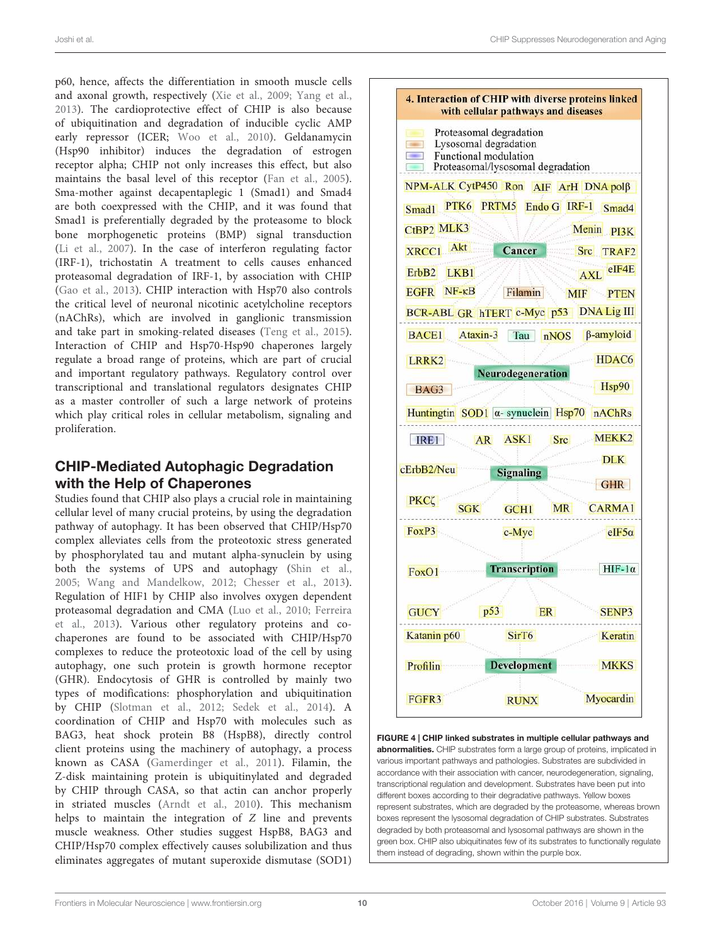p60, hence, affects the differentiation in smooth muscle cells and axonal growth, respectively (Xie et al., 2009; Yang et al., 2013). The cardioprotective effect of CHIP is also because of ubiquitination and degradation of inducible cyclic AMP early repressor (ICER; Woo et al., 2010). Geldanamycin (Hsp90 inhibitor) induces the degradation of estrogen receptor alpha; CHIP not only increases this effect, but also maintains the basal level of this receptor (Fan et al., 2005). Sma-mother against decapentaplegic 1 (Smad1) and Smad4 are both coexpressed with the CHIP, and it was found that Smad1 is preferentially degraded by the proteasome to block bone morphogenetic proteins (BMP) signal transduction (Li et al., 2007). In the case of interferon regulating factor (IRF-1), trichostatin A treatment to cells causes enhanced proteasomal degradation of IRF-1, by association with CHIP (Gao et al., 2013). CHIP interaction with Hsp70 also controls the critical level of neuronal nicotinic acetylcholine receptors (nAChRs), which are involved in ganglionic transmission and take part in smoking-related diseases (Teng et al., 2015). Interaction of CHIP and Hsp70-Hsp90 chaperones largely regulate a broad range of proteins, which are part of crucial and important regulatory pathways. Regulatory control over transcriptional and translational regulators designates CHIP as a master controller of such a large network of proteins which play critical roles in cellular metabolism, signaling and proliferation.

# CHIP-Mediated Autophagic Degradation with the Help of Chaperones

Studies found that CHIP also plays a crucial role in maintaining cellular level of many crucial proteins, by using the degradation pathway of autophagy. It has been observed that CHIP/Hsp70 complex alleviates cells from the proteotoxic stress generated by phosphorylated tau and mutant alpha-synuclein by using both the systems of UPS and autophagy (Shin et al., 2005; Wang and Mandelkow, 2012; Chesser et al., 2013). Regulation of HIF1 by CHIP also involves oxygen dependent proteasomal degradation and CMA (Luo et al., 2010; Ferreira et al., 2013). Various other regulatory proteins and cochaperones are found to be associated with CHIP/Hsp70 complexes to reduce the proteotoxic load of the cell by using autophagy, one such protein is growth hormone receptor (GHR). Endocytosis of GHR is controlled by mainly two types of modifications: phosphorylation and ubiquitination by CHIP (Slotman et al., 2012; Sedek et al., 2014). A coordination of CHIP and Hsp70 with molecules such as BAG3, heat shock protein B8 (HspB8), directly control client proteins using the machinery of autophagy, a process known as CASA (Gamerdinger et al., 2011). Filamin, the Z-disk maintaining protein is ubiquitinylated and degraded by CHIP through CASA, so that actin can anchor properly in striated muscles (Arndt et al., 2010). This mechanism helps to maintain the integration of Z line and prevents muscle weakness. Other studies suggest HspB8, BAG3 and CHIP/Hsp70 complex effectively causes solubilization and thus eliminates aggregates of mutant superoxide dismutase (SOD1)



FIGURE 4 | CHIP linked substrates in multiple cellular pathways and abnormalities. CHIP substrates form a large group of proteins, implicated in various important pathways and pathologies. Substrates are subdivided in accordance with their association with cancer, neurodegeneration, signaling, transcriptional regulation and development. Substrates have been put into different boxes according to their degradative pathways. Yellow boxes represent substrates, which are degraded by the proteasome, whereas brown boxes represent the lysosomal degradation of CHIP substrates. Substrates degraded by both proteasomal and lysosomal pathways are shown in the green box. CHIP also ubiquitinates few of its substrates to functionally regulate them instead of degrading, shown within the purple box.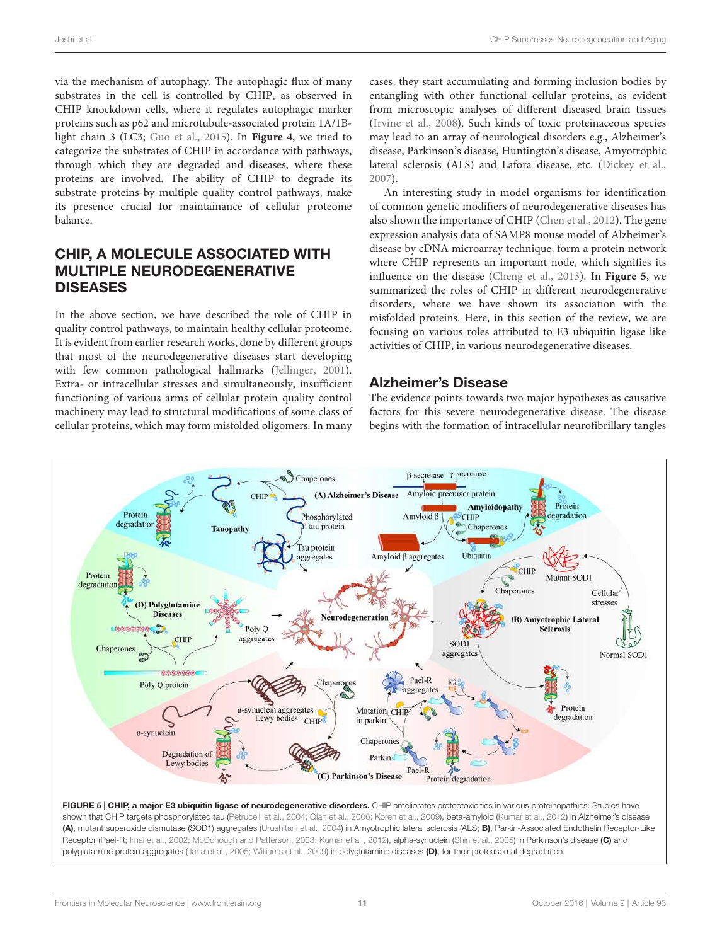via the mechanism of autophagy. The autophagic flux of many substrates in the cell is controlled by CHIP, as observed in CHIP knockdown cells, where it regulates autophagic marker proteins such as p62 and microtubule-associated protein 1A/1Blight chain 3 (LC3; Guo et al., 2015). In **Figure 4**, we tried to categorize the substrates of CHIP in accordance with pathways, through which they are degraded and diseases, where these proteins are involved. The ability of CHIP to degrade its substrate proteins by multiple quality control pathways, make its presence crucial for maintainance of cellular proteome balance.

### CHIP, A MOLECULE ASSOCIATED WITH MULTIPLE NEURODEGENERATIVE DISEASES

In the above section, we have described the role of CHIP in quality control pathways, to maintain healthy cellular proteome. It is evident from earlier research works, done by different groups that most of the neurodegenerative diseases start developing with few common pathological hallmarks (Jellinger, 2001). Extra- or intracellular stresses and simultaneously, insufficient functioning of various arms of cellular protein quality control machinery may lead to structural modifications of some class of cellular proteins, which may form misfolded oligomers. In many cases, they start accumulating and forming inclusion bodies by entangling with other functional cellular proteins, as evident from microscopic analyses of different diseased brain tissues (Irvine et al., 2008). Such kinds of toxic proteinaceous species may lead to an array of neurological disorders e.g., Alzheimer's disease, Parkinson's disease, Huntington's disease, Amyotrophic lateral sclerosis (ALS) and Lafora disease, etc. (Dickey et al., 2007).

An interesting study in model organisms for identification of common genetic modifiers of neurodegenerative diseases has also shown the importance of CHIP (Chen et al., 2012). The gene expression analysis data of SAMP8 mouse model of Alzheimer's disease by cDNA microarray technique, form a protein network where CHIP represents an important node, which signifies its influence on the disease (Cheng et al., 2013). In **Figure 5**, we summarized the roles of CHIP in different neurodegenerative disorders, where we have shown its association with the misfolded proteins. Here, in this section of the review, we are focusing on various roles attributed to E3 ubiquitin ligase like activities of CHIP, in various neurodegenerative diseases.

### Alzheimer's Disease

The evidence points towards two major hypotheses as causative factors for this severe neurodegenerative disease. The disease begins with the formation of intracellular neurofibrillary tangles



FIGURE 5 | CHIP, a major E3 ubiquitin ligase of neurodegenerative disorders. CHIP ameliorates proteotoxicities in various proteinopathies. Studies have shown that CHIP targets phosphorylated tau (Petrucelli et al., 2004; Qian et al., 2006; Koren et al., 2009), beta-amyloid (Kumar et al., 2012) in Alzheimer's disease (A), mutant superoxide dismutase (SOD1) aggregates (Urushitani et al., 2004) in Amyotrophic lateral sclerosis (ALS; B), Parkin-Associated Endothelin Receptor-Like Receptor (Pael-R; Imai et al., 2002; McDonough and Patterson, 2003; Kumar et al., 2012), alpha-synuclein (Shin et al., 2005) in Parkinson's disease (C) and polyglutamine protein aggregates (Jana et al., 2005; Williams et al., 2009) in polyglutamine diseases (D), for their proteasomal degradation.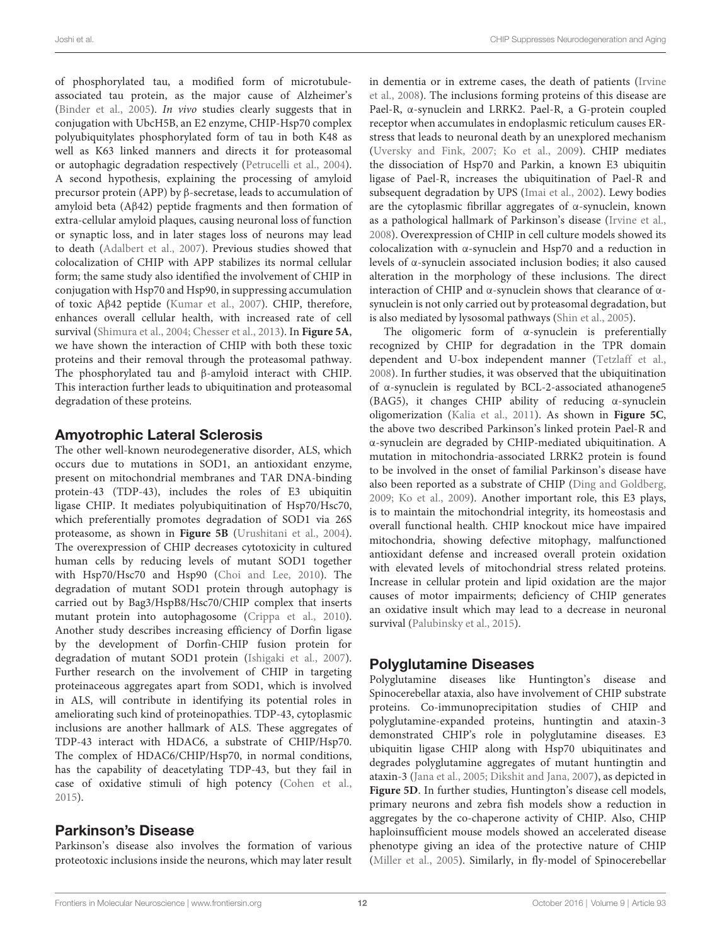of phosphorylated tau, a modified form of microtubuleassociated tau protein, as the major cause of Alzheimer's (Binder et al., 2005). In vivo studies clearly suggests that in conjugation with UbcH5B, an E2 enzyme, CHIP-Hsp70 complex polyubiquitylates phosphorylated form of tau in both K48 as well as K63 linked manners and directs it for proteasomal or autophagic degradation respectively (Petrucelli et al., 2004). A second hypothesis, explaining the processing of amyloid precursor protein (APP) by β-secretase, leads to accumulation of amyloid beta (Aβ42) peptide fragments and then formation of extra-cellular amyloid plaques, causing neuronal loss of function or synaptic loss, and in later stages loss of neurons may lead to death (Adalbert et al., 2007). Previous studies showed that colocalization of CHIP with APP stabilizes its normal cellular form; the same study also identified the involvement of CHIP in conjugation with Hsp70 and Hsp90, in suppressing accumulation of toxic Aβ42 peptide (Kumar et al., 2007). CHIP, therefore, enhances overall cellular health, with increased rate of cell survival (Shimura et al., 2004; Chesser et al., 2013). In **Figure 5A**, we have shown the interaction of CHIP with both these toxic proteins and their removal through the proteasomal pathway. The phosphorylated tau and β-amyloid interact with CHIP. This interaction further leads to ubiquitination and proteasomal degradation of these proteins.

### Amyotrophic Lateral Sclerosis

The other well-known neurodegenerative disorder, ALS, which occurs due to mutations in SOD1, an antioxidant enzyme, present on mitochondrial membranes and TAR DNA-binding protein-43 (TDP-43), includes the roles of E3 ubiquitin ligase CHIP. It mediates polyubiquitination of Hsp70/Hsc70, which preferentially promotes degradation of SOD1 via 26S proteasome, as shown in **Figure 5B** (Urushitani et al., 2004). The overexpression of CHIP decreases cytotoxicity in cultured human cells by reducing levels of mutant SOD1 together with Hsp70/Hsc70 and Hsp90 (Choi and Lee, 2010). The degradation of mutant SOD1 protein through autophagy is carried out by Bag3/HspB8/Hsc70/CHIP complex that inserts mutant protein into autophagosome (Crippa et al., 2010). Another study describes increasing efficiency of Dorfin ligase by the development of Dorfin-CHIP fusion protein for degradation of mutant SOD1 protein (Ishigaki et al., 2007). Further research on the involvement of CHIP in targeting proteinaceous aggregates apart from SOD1, which is involved in ALS, will contribute in identifying its potential roles in ameliorating such kind of proteinopathies. TDP-43, cytoplasmic inclusions are another hallmark of ALS. These aggregates of TDP-43 interact with HDAC6, a substrate of CHIP/Hsp70. The complex of HDAC6/CHIP/Hsp70, in normal conditions, has the capability of deacetylating TDP-43, but they fail in case of oxidative stimuli of high potency (Cohen et al., 2015).

### Parkinson's Disease

Parkinson's disease also involves the formation of various proteotoxic inclusions inside the neurons, which may later result in dementia or in extreme cases, the death of patients (Irvine et al., 2008). The inclusions forming proteins of this disease are Pael-R, α-synuclein and LRRK2. Pael-R, a G-protein coupled receptor when accumulates in endoplasmic reticulum causes ERstress that leads to neuronal death by an unexplored mechanism (Uversky and Fink, 2007; Ko et al., 2009). CHIP mediates the dissociation of Hsp70 and Parkin, a known E3 ubiquitin ligase of Pael-R, increases the ubiquitination of Pael-R and subsequent degradation by UPS (Imai et al., 2002). Lewy bodies are the cytoplasmic fibrillar aggregates of α-synuclein, known as a pathological hallmark of Parkinson's disease (Irvine et al., 2008). Overexpression of CHIP in cell culture models showed its colocalization with α-synuclein and Hsp70 and a reduction in levels of α-synuclein associated inclusion bodies; it also caused alteration in the morphology of these inclusions. The direct interaction of CHIP and α-synuclein shows that clearance of αsynuclein is not only carried out by proteasomal degradation, but is also mediated by lysosomal pathways (Shin et al., 2005).

The oligomeric form of α-synuclein is preferentially recognized by CHIP for degradation in the TPR domain dependent and U-box independent manner (Tetzlaff et al., 2008). In further studies, it was observed that the ubiquitination of α-synuclein is regulated by BCL-2-associated athanogene5 (BAG5), it changes CHIP ability of reducing α-synuclein oligomerization (Kalia et al., 2011). As shown in **Figure 5C**, the above two described Parkinson's linked protein Pael-R and α-synuclein are degraded by CHIP-mediated ubiquitination. A mutation in mitochondria-associated LRRK2 protein is found to be involved in the onset of familial Parkinson's disease have also been reported as a substrate of CHIP (Ding and Goldberg, 2009; Ko et al., 2009). Another important role, this E3 plays, is to maintain the mitochondrial integrity, its homeostasis and overall functional health. CHIP knockout mice have impaired mitochondria, showing defective mitophagy, malfunctioned antioxidant defense and increased overall protein oxidation with elevated levels of mitochondrial stress related proteins. Increase in cellular protein and lipid oxidation are the major causes of motor impairments; deficiency of CHIP generates an oxidative insult which may lead to a decrease in neuronal survival (Palubinsky et al., 2015).

## Polyglutamine Diseases

Polyglutamine diseases like Huntington's disease and Spinocerebellar ataxia, also have involvement of CHIP substrate proteins. Co-immunoprecipitation studies of CHIP and polyglutamine-expanded proteins, huntingtin and ataxin-3 demonstrated CHIP's role in polyglutamine diseases. E3 ubiquitin ligase CHIP along with Hsp70 ubiquitinates and degrades polyglutamine aggregates of mutant huntingtin and ataxin-3 (Jana et al., 2005; Dikshit and Jana, 2007), as depicted in **Figure 5D**. In further studies, Huntington's disease cell models, primary neurons and zebra fish models show a reduction in aggregates by the co-chaperone activity of CHIP. Also, CHIP haploinsufficient mouse models showed an accelerated disease phenotype giving an idea of the protective nature of CHIP (Miller et al., 2005). Similarly, in fly-model of Spinocerebellar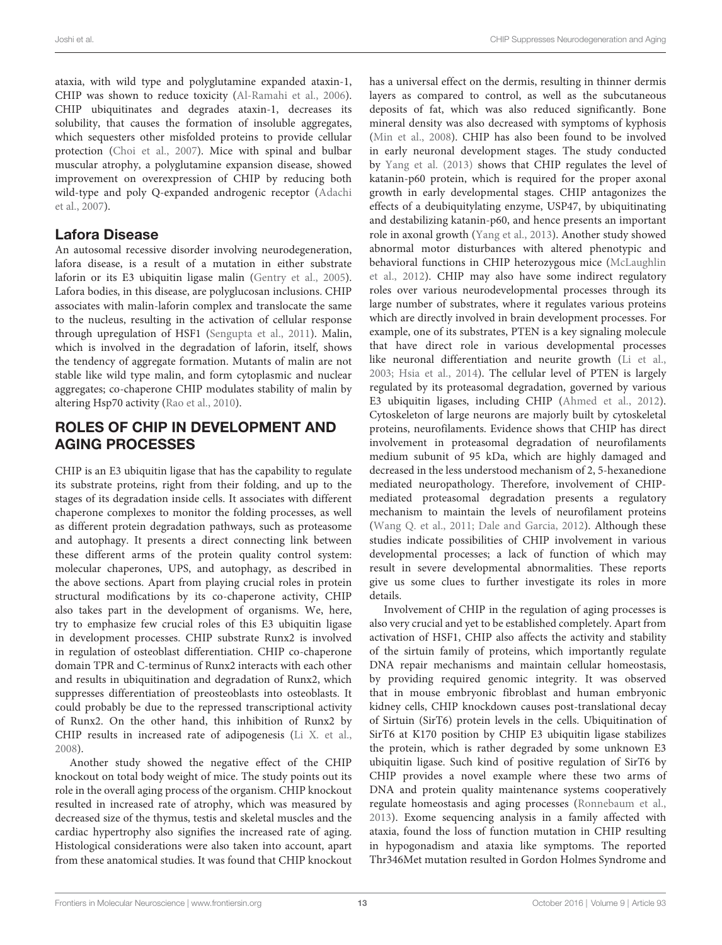Joshi et al. CHIP Suppresses Neurodegeneration and Aging

ataxia, with wild type and polyglutamine expanded ataxin-1, CHIP was shown to reduce toxicity (Al-Ramahi et al., 2006). CHIP ubiquitinates and degrades ataxin-1, decreases its solubility, that causes the formation of insoluble aggregates, which sequesters other misfolded proteins to provide cellular protection (Choi et al., 2007). Mice with spinal and bulbar muscular atrophy, a polyglutamine expansion disease, showed improvement on overexpression of CHIP by reducing both wild-type and poly Q-expanded androgenic receptor (Adachi et al., 2007).

### Lafora Disease

An autosomal recessive disorder involving neurodegeneration, lafora disease, is a result of a mutation in either substrate laforin or its E3 ubiquitin ligase malin (Gentry et al., 2005). Lafora bodies, in this disease, are polyglucosan inclusions. CHIP associates with malin-laforin complex and translocate the same to the nucleus, resulting in the activation of cellular response through upregulation of HSF1 (Sengupta et al., 2011). Malin, which is involved in the degradation of laforin, itself, shows the tendency of aggregate formation. Mutants of malin are not stable like wild type malin, and form cytoplasmic and nuclear aggregates; co-chaperone CHIP modulates stability of malin by altering Hsp70 activity (Rao et al., 2010).

### ROLES OF CHIP IN DEVELOPMENT AND AGING PROCESSES

CHIP is an E3 ubiquitin ligase that has the capability to regulate its substrate proteins, right from their folding, and up to the stages of its degradation inside cells. It associates with different chaperone complexes to monitor the folding processes, as well as different protein degradation pathways, such as proteasome and autophagy. It presents a direct connecting link between these different arms of the protein quality control system: molecular chaperones, UPS, and autophagy, as described in the above sections. Apart from playing crucial roles in protein structural modifications by its co-chaperone activity, CHIP also takes part in the development of organisms. We, here, try to emphasize few crucial roles of this E3 ubiquitin ligase in development processes. CHIP substrate Runx2 is involved in regulation of osteoblast differentiation. CHIP co-chaperone domain TPR and C-terminus of Runx2 interacts with each other and results in ubiquitination and degradation of Runx2, which suppresses differentiation of preosteoblasts into osteoblasts. It could probably be due to the repressed transcriptional activity of Runx2. On the other hand, this inhibition of Runx2 by CHIP results in increased rate of adipogenesis (Li X. et al., 2008).

Another study showed the negative effect of the CHIP knockout on total body weight of mice. The study points out its role in the overall aging process of the organism. CHIP knockout resulted in increased rate of atrophy, which was measured by decreased size of the thymus, testis and skeletal muscles and the cardiac hypertrophy also signifies the increased rate of aging. Histological considerations were also taken into account, apart from these anatomical studies. It was found that CHIP knockout

has a universal effect on the dermis, resulting in thinner dermis layers as compared to control, as well as the subcutaneous deposits of fat, which was also reduced significantly. Bone mineral density was also decreased with symptoms of kyphosis (Min et al., 2008). CHIP has also been found to be involved in early neuronal development stages. The study conducted by Yang et al. (2013) shows that CHIP regulates the level of katanin-p60 protein, which is required for the proper axonal growth in early developmental stages. CHIP antagonizes the effects of a deubiquitylating enzyme, USP47, by ubiquitinating and destabilizing katanin-p60, and hence presents an important role in axonal growth (Yang et al., 2013). Another study showed abnormal motor disturbances with altered phenotypic and behavioral functions in CHIP heterozygous mice (McLaughlin et al., 2012). CHIP may also have some indirect regulatory roles over various neurodevelopmental processes through its large number of substrates, where it regulates various proteins which are directly involved in brain development processes. For example, one of its substrates, PTEN is a key signaling molecule that have direct role in various developmental processes like neuronal differentiation and neurite growth (Li et al., 2003; Hsia et al., 2014). The cellular level of PTEN is largely regulated by its proteasomal degradation, governed by various E3 ubiquitin ligases, including CHIP (Ahmed et al., 2012). Cytoskeleton of large neurons are majorly built by cytoskeletal proteins, neurofilaments. Evidence shows that CHIP has direct involvement in proteasomal degradation of neurofilaments medium subunit of 95 kDa, which are highly damaged and decreased in the less understood mechanism of 2, 5-hexanedione mediated neuropathology. Therefore, involvement of CHIPmediated proteasomal degradation presents a regulatory mechanism to maintain the levels of neurofilament proteins (Wang Q. et al., 2011; Dale and Garcia, 2012). Although these studies indicate possibilities of CHIP involvement in various developmental processes; a lack of function of which may result in severe developmental abnormalities. These reports give us some clues to further investigate its roles in more details.

Involvement of CHIP in the regulation of aging processes is also very crucial and yet to be established completely. Apart from activation of HSF1, CHIP also affects the activity and stability of the sirtuin family of proteins, which importantly regulate DNA repair mechanisms and maintain cellular homeostasis, by providing required genomic integrity. It was observed that in mouse embryonic fibroblast and human embryonic kidney cells, CHIP knockdown causes post-translational decay of Sirtuin (SirT6) protein levels in the cells. Ubiquitination of SirT6 at K170 position by CHIP E3 ubiquitin ligase stabilizes the protein, which is rather degraded by some unknown E3 ubiquitin ligase. Such kind of positive regulation of SirT6 by CHIP provides a novel example where these two arms of DNA and protein quality maintenance systems cooperatively regulate homeostasis and aging processes (Ronnebaum et al., 2013). Exome sequencing analysis in a family affected with ataxia, found the loss of function mutation in CHIP resulting in hypogonadism and ataxia like symptoms. The reported Thr346Met mutation resulted in Gordon Holmes Syndrome and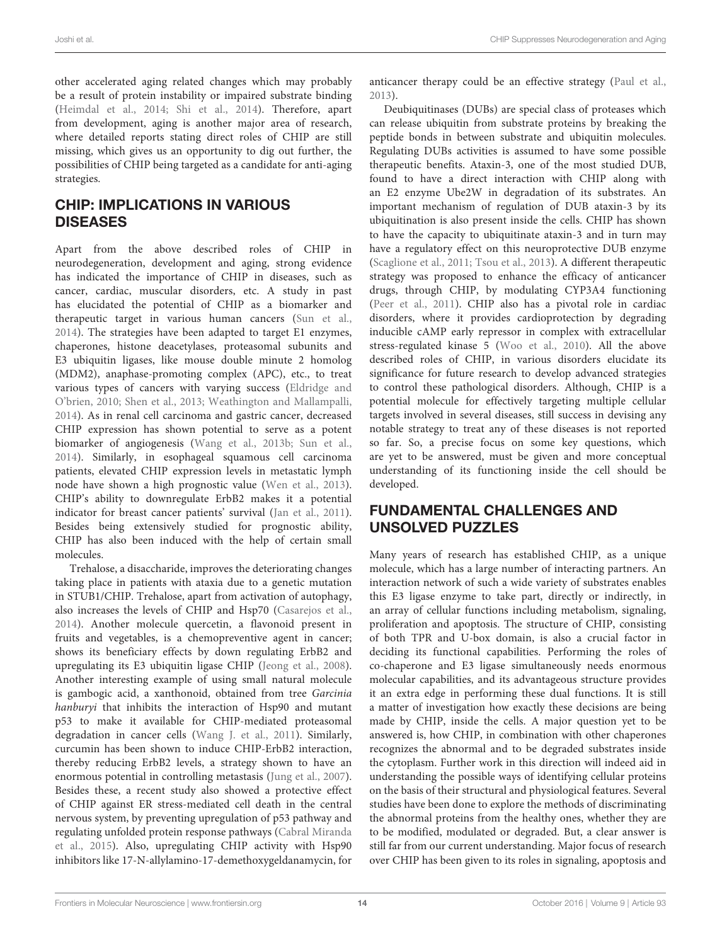other accelerated aging related changes which may probably be a result of protein instability or impaired substrate binding (Heimdal et al., 2014; Shi et al., 2014). Therefore, apart from development, aging is another major area of research, where detailed reports stating direct roles of CHIP are still missing, which gives us an opportunity to dig out further, the possibilities of CHIP being targeted as a candidate for anti-aging strategies.

### CHIP: IMPLICATIONS IN VARIOUS **DISEASES**

Apart from the above described roles of CHIP in neurodegeneration, development and aging, strong evidence has indicated the importance of CHIP in diseases, such as cancer, cardiac, muscular disorders, etc. A study in past has elucidated the potential of CHIP as a biomarker and therapeutic target in various human cancers (Sun et al., 2014). The strategies have been adapted to target E1 enzymes, chaperones, histone deacetylases, proteasomal subunits and E3 ubiquitin ligases, like mouse double minute 2 homolog (MDM2), anaphase-promoting complex (APC), etc., to treat various types of cancers with varying success (Eldridge and O'brien, 2010; Shen et al., 2013; Weathington and Mallampalli, 2014). As in renal cell carcinoma and gastric cancer, decreased CHIP expression has shown potential to serve as a potent biomarker of angiogenesis (Wang et al., 2013b; Sun et al., 2014). Similarly, in esophageal squamous cell carcinoma patients, elevated CHIP expression levels in metastatic lymph node have shown a high prognostic value (Wen et al., 2013). CHIP's ability to downregulate ErbB2 makes it a potential indicator for breast cancer patients' survival (Jan et al., 2011). Besides being extensively studied for prognostic ability, CHIP has also been induced with the help of certain small molecules.

Trehalose, a disaccharide, improves the deteriorating changes taking place in patients with ataxia due to a genetic mutation in STUB1/CHIP. Trehalose, apart from activation of autophagy, also increases the levels of CHIP and Hsp70 (Casarejos et al., 2014). Another molecule quercetin, a flavonoid present in fruits and vegetables, is a chemopreventive agent in cancer; shows its beneficiary effects by down regulating ErbB2 and upregulating its E3 ubiquitin ligase CHIP (Jeong et al., 2008). Another interesting example of using small natural molecule is gambogic acid, a xanthonoid, obtained from tree Garcinia hanburyi that inhibits the interaction of Hsp90 and mutant p53 to make it available for CHIP-mediated proteasomal degradation in cancer cells (Wang J. et al., 2011). Similarly, curcumin has been shown to induce CHIP-ErbB2 interaction, thereby reducing ErbB2 levels, a strategy shown to have an enormous potential in controlling metastasis (Jung et al., 2007). Besides these, a recent study also showed a protective effect of CHIP against ER stress-mediated cell death in the central nervous system, by preventing upregulation of p53 pathway and regulating unfolded protein response pathways (Cabral Miranda et al., 2015). Also, upregulating CHIP activity with Hsp90 inhibitors like 17-N-allylamino-17-demethoxygeldanamycin, for anticancer therapy could be an effective strategy (Paul et al., 2013).

Deubiquitinases (DUBs) are special class of proteases which can release ubiquitin from substrate proteins by breaking the peptide bonds in between substrate and ubiquitin molecules. Regulating DUBs activities is assumed to have some possible therapeutic benefits. Ataxin-3, one of the most studied DUB, found to have a direct interaction with CHIP along with an E2 enzyme Ube2W in degradation of its substrates. An important mechanism of regulation of DUB ataxin-3 by its ubiquitination is also present inside the cells. CHIP has shown to have the capacity to ubiquitinate ataxin-3 and in turn may have a regulatory effect on this neuroprotective DUB enzyme (Scaglione et al., 2011; Tsou et al., 2013). A different therapeutic strategy was proposed to enhance the efficacy of anticancer drugs, through CHIP, by modulating CYP3A4 functioning (Peer et al., 2011). CHIP also has a pivotal role in cardiac disorders, where it provides cardioprotection by degrading inducible cAMP early repressor in complex with extracellular stress-regulated kinase 5 (Woo et al., 2010). All the above described roles of CHIP, in various disorders elucidate its significance for future research to develop advanced strategies to control these pathological disorders. Although, CHIP is a potential molecule for effectively targeting multiple cellular targets involved in several diseases, still success in devising any notable strategy to treat any of these diseases is not reported so far. So, a precise focus on some key questions, which are yet to be answered, must be given and more conceptual understanding of its functioning inside the cell should be developed.

### FUNDAMENTAL CHALLENGES AND UNSOLVED PUZZLES

Many years of research has established CHIP, as a unique molecule, which has a large number of interacting partners. An interaction network of such a wide variety of substrates enables this E3 ligase enzyme to take part, directly or indirectly, in an array of cellular functions including metabolism, signaling, proliferation and apoptosis. The structure of CHIP, consisting of both TPR and U-box domain, is also a crucial factor in deciding its functional capabilities. Performing the roles of co-chaperone and E3 ligase simultaneously needs enormous molecular capabilities, and its advantageous structure provides it an extra edge in performing these dual functions. It is still a matter of investigation how exactly these decisions are being made by CHIP, inside the cells. A major question yet to be answered is, how CHIP, in combination with other chaperones recognizes the abnormal and to be degraded substrates inside the cytoplasm. Further work in this direction will indeed aid in understanding the possible ways of identifying cellular proteins on the basis of their structural and physiological features. Several studies have been done to explore the methods of discriminating the abnormal proteins from the healthy ones, whether they are to be modified, modulated or degraded. But, a clear answer is still far from our current understanding. Major focus of research over CHIP has been given to its roles in signaling, apoptosis and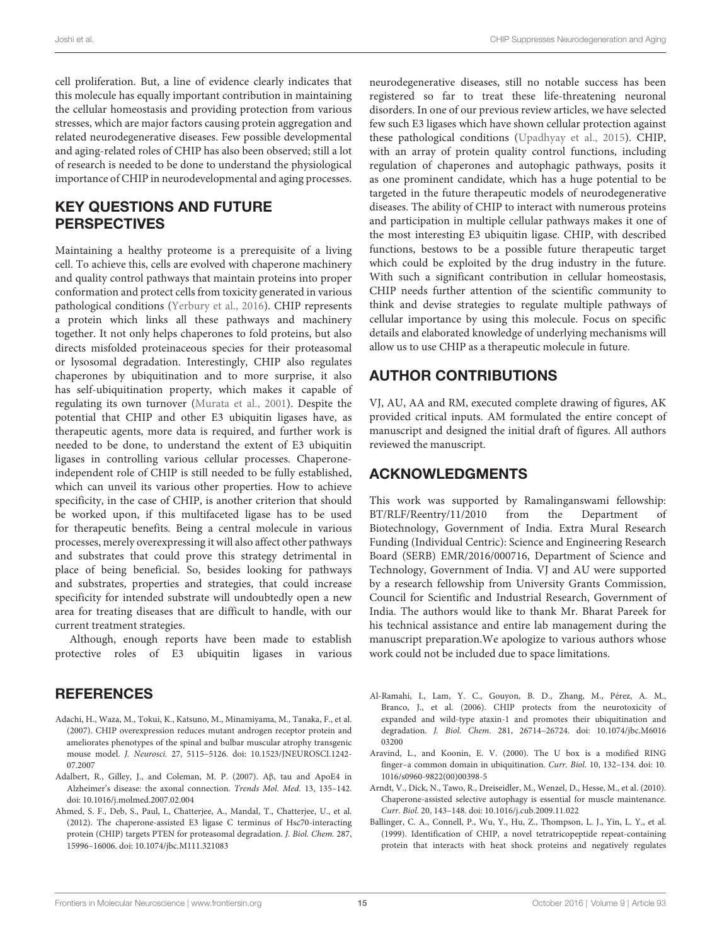cell proliferation. But, a line of evidence clearly indicates that this molecule has equally important contribution in maintaining the cellular homeostasis and providing protection from various stresses, which are major factors causing protein aggregation and related neurodegenerative diseases. Few possible developmental and aging-related roles of CHIP has also been observed; still a lot of research is needed to be done to understand the physiological importance of CHIP in neurodevelopmental and aging processes.

### KEY QUESTIONS AND FUTURE **PERSPECTIVES**

Maintaining a healthy proteome is a prerequisite of a living cell. To achieve this, cells are evolved with chaperone machinery and quality control pathways that maintain proteins into proper conformation and protect cells from toxicity generated in various pathological conditions (Yerbury et al., 2016). CHIP represents a protein which links all these pathways and machinery together. It not only helps chaperones to fold proteins, but also directs misfolded proteinaceous species for their proteasomal or lysosomal degradation. Interestingly, CHIP also regulates chaperones by ubiquitination and to more surprise, it also has self-ubiquitination property, which makes it capable of regulating its own turnover (Murata et al., 2001). Despite the potential that CHIP and other E3 ubiquitin ligases have, as therapeutic agents, more data is required, and further work is needed to be done, to understand the extent of E3 ubiquitin ligases in controlling various cellular processes. Chaperoneindependent role of CHIP is still needed to be fully established, which can unveil its various other properties. How to achieve specificity, in the case of CHIP, is another criterion that should be worked upon, if this multifaceted ligase has to be used for therapeutic benefits. Being a central molecule in various processes, merely overexpressing it will also affect other pathways and substrates that could prove this strategy detrimental in place of being beneficial. So, besides looking for pathways and substrates, properties and strategies, that could increase specificity for intended substrate will undoubtedly open a new area for treating diseases that are difficult to handle, with our current treatment strategies.

Although, enough reports have been made to establish protective roles of E3 ubiquitin ligases in various

### **REFERENCES**

- Adachi, H., Waza, M., Tokui, K., Katsuno, M., Minamiyama, M., Tanaka, F., et al. (2007). CHIP overexpression reduces mutant androgen receptor protein and ameliorates phenotypes of the spinal and bulbar muscular atrophy transgenic mouse model. J. Neurosci. 27, 5115–5126. doi: 10.1523/JNEUROSCI.1242- 07.2007
- Adalbert, R., Gilley, J., and Coleman, M. P. (2007). Aβ, tau and ApoE4 in Alzheimer's disease: the axonal connection. Trends Mol. Med. 13, 135–142. doi: 10.1016/j.molmed.2007.02.004
- Ahmed, S. F., Deb, S., Paul, I., Chatterjee, A., Mandal, T., Chatterjee, U., et al. (2012). The chaperone-assisted E3 ligase C terminus of Hsc70-interacting protein (CHIP) targets PTEN for proteasomal degradation. J. Biol. Chem. 287, 15996–16006. doi: 10.1074/jbc.M111.321083

neurodegenerative diseases, still no notable success has been registered so far to treat these life-threatening neuronal disorders. In one of our previous review articles, we have selected few such E3 ligases which have shown cellular protection against these pathological conditions (Upadhyay et al., 2015). CHIP, with an array of protein quality control functions, including regulation of chaperones and autophagic pathways, posits it as one prominent candidate, which has a huge potential to be targeted in the future therapeutic models of neurodegenerative diseases. The ability of CHIP to interact with numerous proteins and participation in multiple cellular pathways makes it one of the most interesting E3 ubiquitin ligase. CHIP, with described functions, bestows to be a possible future therapeutic target which could be exploited by the drug industry in the future. With such a significant contribution in cellular homeostasis, CHIP needs further attention of the scientific community to think and devise strategies to regulate multiple pathways of cellular importance by using this molecule. Focus on specific details and elaborated knowledge of underlying mechanisms will allow us to use CHIP as a therapeutic molecule in future.

### AUTHOR CONTRIBUTIONS

VJ, AU, AA and RM, executed complete drawing of figures, AK provided critical inputs. AM formulated the entire concept of manuscript and designed the initial draft of figures. All authors reviewed the manuscript.

### ACKNOWLEDGMENTS

This work was supported by Ramalinganswami fellowship: BT/RLF/Reentry/11/2010 from the Department of Biotechnology, Government of India. Extra Mural Research Funding (Individual Centric): Science and Engineering Research Board (SERB) EMR/2016/000716, Department of Science and Technology, Government of India. VJ and AU were supported by a research fellowship from University Grants Commission, Council for Scientific and Industrial Research, Government of India. The authors would like to thank Mr. Bharat Pareek for his technical assistance and entire lab management during the manuscript preparation.We apologize to various authors whose work could not be included due to space limitations.

- Al-Ramahi, I., Lam, Y. C., Gouyon, B. D., Zhang, M., Pérez, A. M., Branco, J., et al. (2006). CHIP protects from the neurotoxicity of expanded and wild-type ataxin-1 and promotes their ubiquitination and degradation. J. Biol. Chem. 281, 26714–26724. doi: 10.1074/jbc.M6016 03200
- Aravind, L., and Koonin, E. V. (2000). The U box is a modified RING finger–a common domain in ubiquitination. Curr. Biol. 10, 132–134. doi: 10. 1016/s0960-9822(00)00398-5
- Arndt, V., Dick, N., Tawo, R., Dreiseidler, M., Wenzel, D., Hesse, M., et al. (2010). Chaperone-assisted selective autophagy is essential for muscle maintenance. Curr. Biol. 20, 143–148. doi: 10.1016/j.cub.2009.11.022
- Ballinger, C. A., Connell, P., Wu, Y., Hu, Z., Thompson, L. J., Yin, L. Y., et al. (1999). Identification of CHIP, a novel tetratricopeptide repeat-containing protein that interacts with heat shock proteins and negatively regulates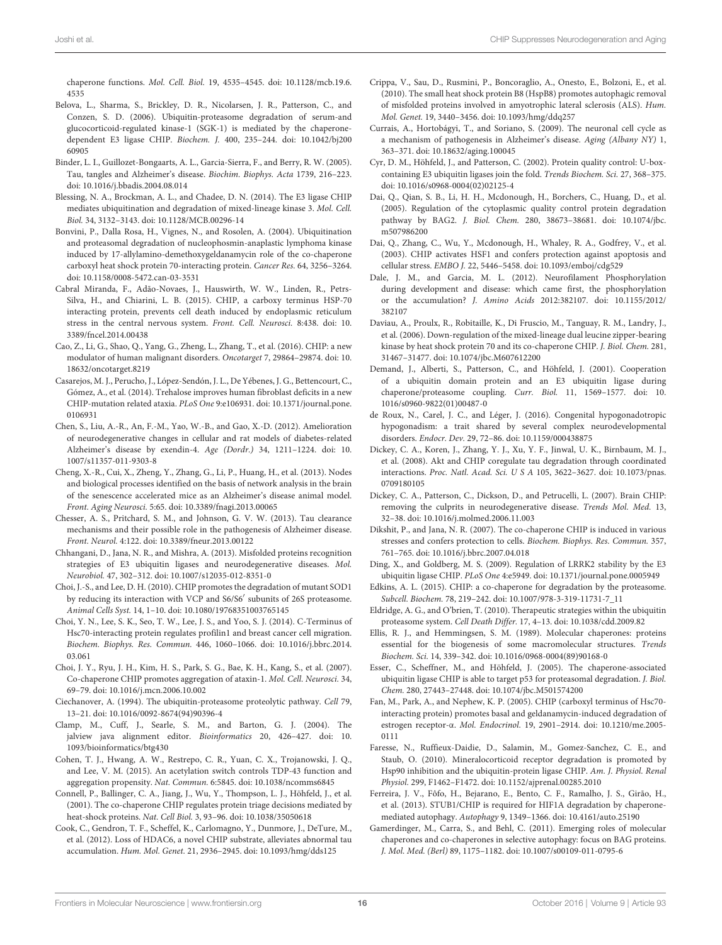chaperone functions. Mol. Cell. Biol. 19, 4535–4545. doi: 10.1128/mcb.19.6. 4535

- Belova, L., Sharma, S., Brickley, D. R., Nicolarsen, J. R., Patterson, C., and Conzen, S. D. (2006). Ubiquitin-proteasome degradation of serum-and glucocorticoid-regulated kinase-1 (SGK-1) is mediated by the chaperonedependent E3 ligase CHIP. Biochem. J. 400, 235–244. doi: 10.1042/bj200 60905
- Binder, L. I., Guillozet-Bongaarts, A. L., Garcia-Sierra, F., and Berry, R. W. (2005). Tau, tangles and Alzheimer's disease. Biochim. Biophys. Acta 1739, 216–223. doi: 10.1016/j.bbadis.2004.08.014
- Blessing, N. A., Brockman, A. L., and Chadee, D. N. (2014). The E3 ligase CHIP mediates ubiquitination and degradation of mixed-lineage kinase 3. Mol. Cell. Biol. 34, 3132–3143. doi: 10.1128/MCB.00296-14
- Bonvini, P., Dalla Rosa, H., Vignes, N., and Rosolen, A. (2004). Ubiquitination and proteasomal degradation of nucleophosmin-anaplastic lymphoma kinase induced by 17-allylamino-demethoxygeldanamycin role of the co-chaperone carboxyl heat shock protein 70-interacting protein. Cancer Res. 64, 3256–3264. doi: 10.1158/0008-5472.can-03-3531
- Cabral Miranda, F., Adão-Novaes, J., Hauswirth, W. W., Linden, R., Petrs-Silva, H., and Chiarini, L. B. (2015). CHIP, a carboxy terminus HSP-70 interacting protein, prevents cell death induced by endoplasmic reticulum stress in the central nervous system. Front. Cell. Neurosci. 8:438. doi: 10. 3389/fncel.2014.00438
- Cao, Z., Li, G., Shao, Q., Yang, G., Zheng, L., Zhang, T., et al. (2016). CHIP: a new modulator of human malignant disorders. Oncotarget 7, 29864–29874. doi: 10. 18632/oncotarget.8219
- Casarejos, M. J., Perucho, J., López-Sendón, J. L., De Yébenes, J. G., Bettencourt, C., Gómez, A., et al. (2014). Trehalose improves human fibroblast deficits in a new CHIP-mutation related ataxia. PLoS One 9:e106931. doi: 10.1371/journal.pone. 0106931
- Chen, S., Liu, A.-R., An, F.-M., Yao, W.-B., and Gao, X.-D. (2012). Amelioration of neurodegenerative changes in cellular and rat models of diabetes-related Alzheimer's disease by exendin-4. Age (Dordr.) 34, 1211–1224. doi: 10. 1007/s11357-011-9303-8
- Cheng, X.-R., Cui, X., Zheng, Y., Zhang, G., Li, P., Huang, H., et al. (2013). Nodes and biological processes identified on the basis of network analysis in the brain of the senescence accelerated mice as an Alzheimer's disease animal model. Front. Aging Neurosci. 5:65. doi: 10.3389/fnagi.2013.00065
- Chesser, A. S., Pritchard, S. M., and Johnson, G. V. W. (2013). Tau clearance mechanisms and their possible role in the pathogenesis of Alzheimer disease. Front. Neurol. 4:122. doi: 10.3389/fneur.2013.00122
- Chhangani, D., Jana, N. R., and Mishra, A. (2013). Misfolded proteins recognition strategies of E3 ubiquitin ligases and neurodegenerative diseases. Mol. Neurobiol. 47, 302–312. doi: 10.1007/s12035-012-8351-0
- Choi, J.-S., and Lee, D. H. (2010). CHIP promotes the degradation of mutant SOD1 by reducing its interaction with VCP and S6/S6′ subunits of 26S proteasome. Animal Cells Syst. 14, 1–10. doi: 10.1080/19768351003765145
- Choi, Y. N., Lee, S. K., Seo, T. W., Lee, J. S., and Yoo, S. J. (2014). C-Terminus of Hsc70-interacting protein regulates profilin1 and breast cancer cell migration. Biochem. Biophys. Res. Commun. 446, 1060–1066. doi: 10.1016/j.bbrc.2014. 03.061
- Choi, J. Y., Ryu, J. H., Kim, H. S., Park, S. G., Bae, K. H., Kang, S., et al. (2007). Co-chaperone CHIP promotes aggregation of ataxin-1. Mol. Cell. Neurosci. 34, 69–79. doi: 10.1016/j.mcn.2006.10.002
- Ciechanover, A. (1994). The ubiquitin-proteasome proteolytic pathway. Cell 79, 13–21. doi: 10.1016/0092-8674(94)90396-4
- Clamp, M., Cuff, J., Searle, S. M., and Barton, G. J. (2004). The jalview java alignment editor. Bioinformatics 20, 426–427. doi: 10. 1093/bioinformatics/btg430
- Cohen, T. J., Hwang, A. W., Restrepo, C. R., Yuan, C. X., Trojanowski, J. Q., and Lee, V. M. (2015). An acetylation switch controls TDP-43 function and aggregation propensity. Nat. Commun. 6:5845. doi: 10.1038/ncomms6845
- Connell, P., Ballinger, C. A., Jiang, J., Wu, Y., Thompson, L. J., Höhfeld, J., et al. (2001). The co-chaperone CHIP regulates protein triage decisions mediated by heat-shock proteins. Nat. Cell Biol. 3, 93–96. doi: 10.1038/35050618
- Cook, C., Gendron, T. F., Scheffel, K., Carlomagno, Y., Dunmore, J., DeTure, M., et al. (2012). Loss of HDAC6, a novel CHIP substrate, alleviates abnormal tau accumulation. Hum. Mol. Genet. 21, 2936–2945. doi: 10.1093/hmg/dds125
- Crippa, V., Sau, D., Rusmini, P., Boncoraglio, A., Onesto, E., Bolzoni, E., et al. (2010). The small heat shock protein B8 (HspB8) promotes autophagic removal of misfolded proteins involved in amyotrophic lateral sclerosis (ALS). Hum. Mol. Genet. 19, 3440–3456. doi: 10.1093/hmg/ddq257
- Currais, A., Hortobágyi, T., and Soriano, S. (2009). The neuronal cell cycle as a mechanism of pathogenesis in Alzheimer's disease. Aging (Albany NY) 1, 363–371. doi: 10.18632/aging.100045
- Cyr, D. M., Höhfeld, J., and Patterson, C. (2002). Protein quality control: U-boxcontaining E3 ubiquitin ligases join the fold. Trends Biochem. Sci. 27, 368–375. doi: 10.1016/s0968-0004(02)02125-4
- Dai, Q., Qian, S. B., Li, H. H., Mcdonough, H., Borchers, C., Huang, D., et al. (2005). Regulation of the cytoplasmic quality control protein degradation pathway by BAG2. J. Biol. Chem. 280, 38673–38681. doi: 10.1074/jbc. m507986200
- Dai, Q., Zhang, C., Wu, Y., Mcdonough, H., Whaley, R. A., Godfrey, V., et al. (2003). CHIP activates HSF1 and confers protection against apoptosis and cellular stress. EMBO J. 22, 5446–5458. doi: 10.1093/emboj/cdg529
- Dale, J. M., and Garcia, M. L. (2012). Neurofilament Phosphorylation during development and disease: which came first, the phosphorylation or the accumulation? J. Amino Acids 2012:382107. doi: 10.1155/2012/ 382107
- Daviau, A., Proulx, R., Robitaille, K., Di Fruscio, M., Tanguay, R. M., Landry, J., et al. (2006). Down-regulation of the mixed-lineage dual leucine zipper-bearing kinase by heat shock protein 70 and its co-chaperone CHIP. J. Biol. Chem. 281, 31467–31477. doi: 10.1074/jbc.M607612200
- Demand, J., Alberti, S., Patterson, C., and Höhfeld, J. (2001). Cooperation of a ubiquitin domain protein and an E3 ubiquitin ligase during chaperone/proteasome coupling. Curr. Biol. 11, 1569–1577. doi: 10. 1016/s0960-9822(01)00487-0
- de Roux, N., Carel, J. C., and Léger, J. (2016). Congenital hypogonadotropic hypogonadism: a trait shared by several complex neurodevelopmental disorders. Endocr. Dev. 29, 72–86. doi: 10.1159/000438875
- Dickey, C. A., Koren, J., Zhang, Y. J., Xu, Y. F., Jinwal, U. K., Birnbaum, M. J., et al. (2008). Akt and CHIP coregulate tau degradation through coordinated interactions. Proc. Natl. Acad. Sci. U S A 105, 3622–3627. doi: 10.1073/pnas. 0709180105
- Dickey, C. A., Patterson, C., Dickson, D., and Petrucelli, L. (2007). Brain CHIP: removing the culprits in neurodegenerative disease. Trends Mol. Med. 13, 32–38. doi: 10.1016/j.molmed.2006.11.003
- Dikshit, P., and Jana, N. R. (2007). The co-chaperone CHIP is induced in various stresses and confers protection to cells. Biochem. Biophys. Res. Commun. 357, 761–765. doi: 10.1016/j.bbrc.2007.04.018
- Ding, X., and Goldberg, M. S. (2009). Regulation of LRRK2 stability by the E3 ubiquitin ligase CHIP. PLoS One 4:e5949. doi: 10.1371/journal.pone.0005949
- Edkins, A. L. (2015). CHIP: a co-chaperone for degradation by the proteasome. Subcell. Biochem. 78, 219–242. doi: 10.1007/978-3-319-11731-7\_11
- Eldridge, A. G., and O'brien, T. (2010). Therapeutic strategies within the ubiquitin proteasome system. Cell Death Differ. 17, 4–13. doi: 10.1038/cdd.2009.82
- Ellis, R. J., and Hemmingsen, S. M. (1989). Molecular chaperones: proteins essential for the biogenesis of some macromolecular structures. Trends Biochem. Sci. 14, 339–342. doi: 10.1016/0968-0004(89)90168-0
- Esser, C., Scheffner, M., and Höhfeld, J. (2005). The chaperone-associated ubiquitin ligase CHIP is able to target p53 for proteasomal degradation. J. Biol. Chem. 280, 27443–27448. doi: 10.1074/jbc.M501574200
- Fan, M., Park, A., and Nephew, K. P. (2005). CHIP (carboxyl terminus of Hsc70 interacting protein) promotes basal and geldanamycin-induced degradation of estrogen receptor-α. Mol. Endocrinol. 19, 2901–2914. doi: 10.1210/me.2005- 0111
- Faresse, N., Ruffieux-Daidie, D., Salamin, M., Gomez-Sanchez, C. E., and Staub, O. (2010). Mineralocorticoid receptor degradation is promoted by Hsp90 inhibition and the ubiquitin-protein ligase CHIP. Am. J. Physiol. Renal Physiol. 299, F1462–F1472. doi: 10.1152/ajprenal.00285.2010
- Ferreira, J. V., Fôfo, H., Bejarano, E., Bento, C. F., Ramalho, J. S., Girão, H., et al. (2013). STUB1/CHIP is required for HIF1A degradation by chaperonemediated autophagy. Autophagy 9, 1349–1366. doi: 10.4161/auto.25190
- Gamerdinger, M., Carra, S., and Behl, C. (2011). Emerging roles of molecular chaperones and co-chaperones in selective autophagy: focus on BAG proteins. J. Mol. Med. (Berl) 89, 1175–1182. doi: 10.1007/s00109-011-0795-6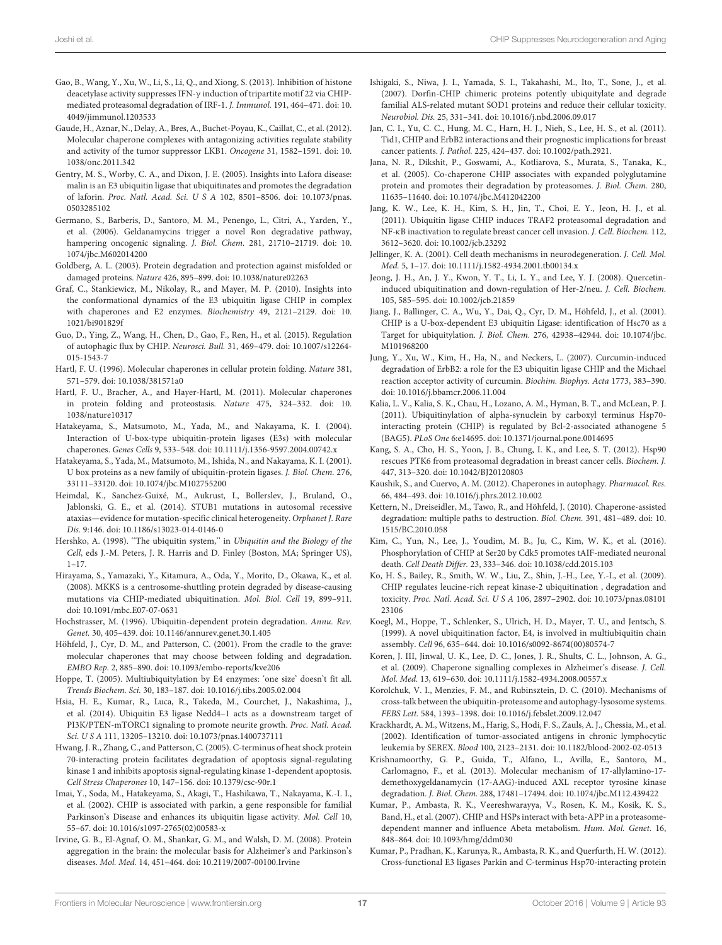- Gao, B., Wang, Y., Xu, W., Li, S., Li, Q., and Xiong, S. (2013). Inhibition of histone deacetylase activity suppresses IFN-γ induction of tripartite motif 22 via CHIPmediated proteasomal degradation of IRF-1. J. Immunol. 191, 464–471. doi: 10. 4049/jimmunol.1203533
- Gaude, H., Aznar, N., Delay, A., Bres, A., Buchet-Poyau, K., Caillat, C., et al. (2012). Molecular chaperone complexes with antagonizing activities regulate stability and activity of the tumor suppressor LKB1. Oncogene 31, 1582–1591. doi: 10. 1038/onc.2011.342
- Gentry, M. S., Worby, C. A., and Dixon, J. E. (2005). Insights into Lafora disease: malin is an E3 ubiquitin ligase that ubiquitinates and promotes the degradation of laforin. Proc. Natl. Acad. Sci. U S A 102, 8501–8506. doi: 10.1073/pnas. 0503285102
- Germano, S., Barberis, D., Santoro, M. M., Penengo, L., Citri, A., Yarden, Y., et al. (2006). Geldanamycins trigger a novel Ron degradative pathway, hampering oncogenic signaling. J. Biol. Chem. 281, 21710–21719. doi: 10. 1074/jbc.M602014200
- Goldberg, A. L. (2003). Protein degradation and protection against misfolded or damaged proteins. Nature 426, 895–899. doi: 10.1038/nature02263
- Graf, C., Stankiewicz, M., Nikolay, R., and Mayer, M. P. (2010). Insights into the conformational dynamics of the E3 ubiquitin ligase CHIP in complex with chaperones and E2 enzymes. Biochemistry 49, 2121–2129. doi: 10. 1021/bi901829f
- Guo, D., Ying, Z., Wang, H., Chen, D., Gao, F., Ren, H., et al. (2015). Regulation of autophagic flux by CHIP. Neurosci. Bull. 31, 469–479. doi: 10.1007/s12264- 015-1543-7
- Hartl, F. U. (1996). Molecular chaperones in cellular protein folding. Nature 381, 571–579. doi: 10.1038/381571a0
- Hartl, F. U., Bracher, A., and Hayer-Hartl, M. (2011). Molecular chaperones in protein folding and proteostasis. Nature 475, 324–332. doi: 10. 1038/nature10317
- Hatakeyama, S., Matsumoto, M., Yada, M., and Nakayama, K. I. (2004). Interaction of U-box-type ubiquitin-protein ligases (E3s) with molecular chaperones. Genes Cells 9, 533–548. doi: 10.1111/j.1356-9597.2004.00742.x
- Hatakeyama, S., Yada, M., Matsumoto, M., Ishida, N., and Nakayama, K. I. (2001). U box proteins as a new family of ubiquitin-protein ligases. J. Biol. Chem. 276, 33111–33120. doi: 10.1074/jbc.M102755200
- Heimdal, K., Sanchez-Guixé, M., Aukrust, I., Bollerslev, J., Bruland, O., Jablonski, G. E., et al. (2014). STUB1 mutations in autosomal recessive ataxias—evidence for mutation-specific clinical heterogeneity. Orphanet J. Rare Dis. 9:146. doi: 10.1186/s13023-014-0146-0
- Hershko, A. (1998). "The ubiquitin system," in Ubiquitin and the Biology of the Cell, eds J.-M. Peters, J. R. Harris and D. Finley (Boston, MA; Springer US), 1–17.
- Hirayama, S., Yamazaki, Y., Kitamura, A., Oda, Y., Morito, D., Okawa, K., et al. (2008). MKKS is a centrosome-shuttling protein degraded by disease-causing mutations via CHIP-mediated ubiquitination. Mol. Biol. Cell 19, 899–911. doi: 10.1091/mbc.E07-07-0631
- Hochstrasser, M. (1996). Ubiquitin-dependent protein degradation. Annu. Rev. Genet. 30, 405–439. doi: 10.1146/annurev.genet.30.1.405
- Höhfeld, J., Cyr, D. M., and Patterson, C. (2001). From the cradle to the grave: molecular chaperones that may choose between folding and degradation. EMBO Rep. 2, 885–890. doi: 10.1093/embo-reports/kve206
- Hoppe, T. (2005). Multiubiquitylation by E4 enzymes: 'one size' doesn't fit all. Trends Biochem. Sci. 30, 183–187. doi: 10.1016/j.tibs.2005.02.004
- Hsia, H. E., Kumar, R., Luca, R., Takeda, M., Courchet, J., Nakashima, J., et al. (2014). Ubiquitin E3 ligase Nedd4–1 acts as a downstream target of PI3K/PTEN-mTORC1 signaling to promote neurite growth. Proc. Natl. Acad. Sci. U S A 111, 13205–13210. doi: 10.1073/pnas.1400737111
- Hwang, J. R., Zhang, C., and Patterson, C. (2005). C-terminus of heat shock protein 70-interacting protein facilitates degradation of apoptosis signal-regulating kinase 1 and inhibits apoptosis signal-regulating kinase 1-dependent apoptosis. Cell Stress Chaperones 10, 147–156. doi: 10.1379/csc-90r.1
- Imai, Y., Soda, M., Hatakeyama, S., Akagi, T., Hashikawa, T., Nakayama, K.-I. I., et al. (2002). CHIP is associated with parkin, a gene responsible for familial Parkinson's Disease and enhances its ubiquitin ligase activity. Mol. Cell 10, 55–67. doi: 10.1016/s1097-2765(02)00583-x
- Irvine, G. B., El-Agnaf, O. M., Shankar, G. M., and Walsh, D. M. (2008). Protein aggregation in the brain: the molecular basis for Alzheimer's and Parkinson's diseases. Mol. Med. 14, 451–464. doi: 10.2119/2007-00100.Irvine
- Ishigaki, S., Niwa, J. I., Yamada, S. I., Takahashi, M., Ito, T., Sone, J., et al. (2007). Dorfin-CHIP chimeric proteins potently ubiquitylate and degrade familial ALS-related mutant SOD1 proteins and reduce their cellular toxicity. Neurobiol. Dis. 25, 331–341. doi: 10.1016/j.nbd.2006.09.017
- Jan, C. I., Yu, C. C., Hung, M. C., Harn, H. J., Nieh, S., Lee, H. S., et al. (2011). Tid1, CHIP and ErbB2 interactions and their prognostic implications for breast cancer patients. J. Pathol. 225, 424–437. doi: 10.1002/path.2921.
- Jana, N. R., Dikshit, P., Goswami, A., Kotliarova, S., Murata, S., Tanaka, K., et al. (2005). Co-chaperone CHIP associates with expanded polyglutamine protein and promotes their degradation by proteasomes. J. Biol. Chem. 280, 11635–11640. doi: 10.1074/jbc.M412042200
- Jang, K. W., Lee, K. H., Kim, S. H., Jin, T., Choi, E. Y., Jeon, H. J., et al. (2011). Ubiquitin ligase CHIP induces TRAF2 proteasomal degradation and NF-κB inactivation to regulate breast cancer cell invasion. J. Cell. Biochem. 112, 3612–3620. doi: 10.1002/jcb.23292
- Jellinger, K. A. (2001). Cell death mechanisms in neurodegeneration. J. Cell. Mol. Med. 5, 1–17. doi: 10.1111/j.1582-4934.2001.tb00134.x
- Jeong, J. H., An, J. Y., Kwon, Y. T., Li, L. Y., and Lee, Y. J. (2008). Quercetininduced ubiquitination and down-regulation of Her-2/neu. J. Cell. Biochem. 105, 585–595. doi: 10.1002/jcb.21859
- Jiang, J., Ballinger, C. A., Wu, Y., Dai, Q., Cyr, D. M., Höhfeld, J., et al. (2001). CHIP is a U-box-dependent E3 ubiquitin Ligase: identification of Hsc70 as a Target for ubiquitylation. J. Biol. Chem. 276, 42938–42944. doi: 10.1074/jbc. M101968200
- Jung, Y., Xu, W., Kim, H., Ha, N., and Neckers, L. (2007). Curcumin-induced degradation of ErbB2: a role for the E3 ubiquitin ligase CHIP and the Michael reaction acceptor activity of curcumin. Biochim. Biophys. Acta 1773, 383–390. doi: 10.1016/j.bbamcr.2006.11.004
- Kalia, L. V., Kalia, S. K., Chau, H., Lozano, A. M., Hyman, B. T., and McLean, P. J. (2011). Ubiquitinylation of alpha-synuclein by carboxyl terminus Hsp70 interacting protein (CHIP) is regulated by Bcl-2-associated athanogene 5 (BAG5). PLoS One 6:e14695. doi: 10.1371/journal.pone.0014695
- Kang, S. A., Cho, H. S., Yoon, J. B., Chung, I. K., and Lee, S. T. (2012). Hsp90 rescues PTK6 from proteasomal degradation in breast cancer cells. Biochem. J. 447, 313–320. doi: 10.1042/BJ20120803
- Kaushik, S., and Cuervo, A. M. (2012). Chaperones in autophagy. Pharmacol. Res. 66, 484–493. doi: 10.1016/j.phrs.2012.10.002
- Kettern, N., Dreiseidler, M., Tawo, R., and Höhfeld, J. (2010). Chaperone-assisted degradation: multiple paths to destruction. Biol. Chem. 391, 481–489. doi: 10. 1515/BC.2010.058
- Kim, C., Yun, N., Lee, J., Youdim, M. B., Ju, C., Kim, W. K., et al. (2016). Phosphorylation of CHIP at Ser20 by Cdk5 promotes tAIF-mediated neuronal death. Cell Death Differ. 23, 333–346. doi: 10.1038/cdd.2015.103
- Ko, H. S., Bailey, R., Smith, W. W., Liu, Z., Shin, J.-H., Lee, Y.-I., et al. (2009). CHIP regulates leucine-rich repeat kinase-2 ubiquitination , degradation and toxicity. Proc. Natl. Acad. Sci. U S A 106, 2897–2902. doi: 10.1073/pnas.08101 23106
- Koegl, M., Hoppe, T., Schlenker, S., Ulrich, H. D., Mayer, T. U., and Jentsch, S. (1999). A novel ubiquitination factor, E4, is involved in multiubiquitin chain assembly. Cell 96, 635–644. doi: 10.1016/s0092-8674(00)80574-7
- Koren, J. III, Jinwal, U. K., Lee, D. C., Jones, J. R., Shults, C. L., Johnson, A. G., et al. (2009). Chaperone signalling complexes in Alzheimer's disease. J. Cell. Mol. Med. 13, 619–630. doi: 10.1111/j.1582-4934.2008.00557.x
- Korolchuk, V. I., Menzies, F. M., and Rubinsztein, D. C. (2010). Mechanisms of cross-talk between the ubiquitin-proteasome and autophagy-lysosome systems. FEBS Lett. 584, 1393–1398. doi: 10.1016/j.febslet.2009.12.047
- Krackhardt, A. M., Witzens, M., Harig, S., Hodi, F. S., Zauls, A. J., Chessia, M., et al. (2002). Identification of tumor-associated antigens in chronic lymphocytic leukemia by SEREX. Blood 100, 2123–2131. doi: 10.1182/blood-2002-02-0513
- Krishnamoorthy, G. P., Guida, T., Alfano, L., Avilla, E., Santoro, M., Carlomagno, F., et al. (2013). Molecular mechanism of 17-allylamino-17 demethoxygeldanamycin (17-AAG)-induced AXL receptor tyrosine kinase degradation. J. Biol. Chem. 288, 17481–17494. doi: 10.1074/jbc.M112.439422
- Kumar, P., Ambasta, R. K., Veereshwarayya, V., Rosen, K. M., Kosik, K. S., Band, H., et al. (2007). CHIP and HSPs interact with beta-APP in a proteasomedependent manner and influence Abeta metabolism. Hum. Mol. Genet. 16, 848–864. doi: 10.1093/hmg/ddm030
- Kumar, P., Pradhan, K., Karunya, R., Ambasta, R. K., and Querfurth, H. W. (2012). Cross-functional E3 ligases Parkin and C-terminus Hsp70-interacting protein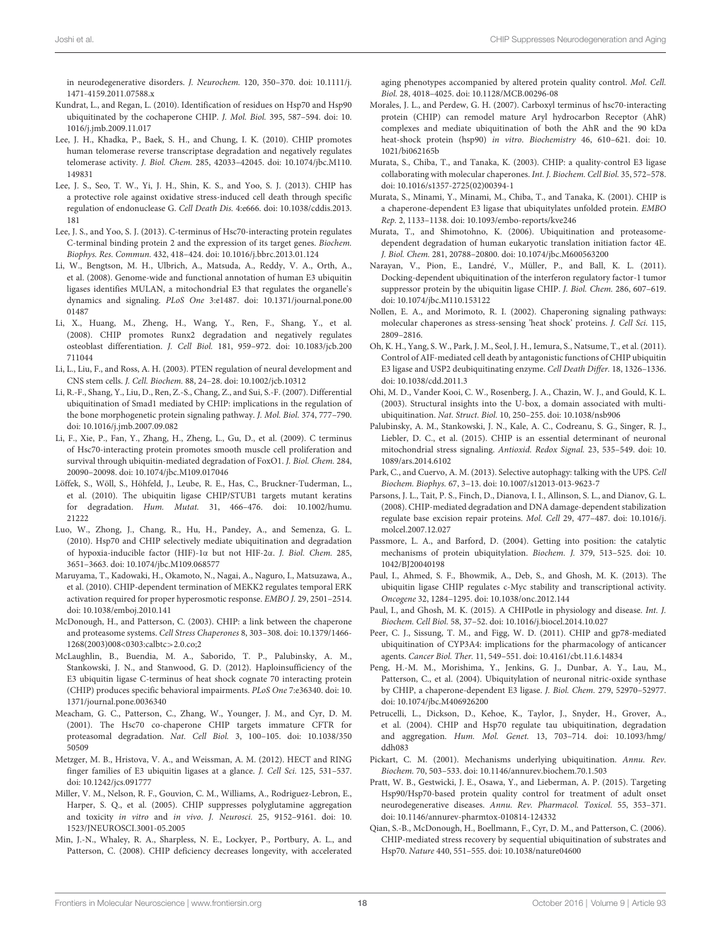in neurodegenerative disorders. J. Neurochem. 120, 350–370. doi: 10.1111/j. 1471-4159.2011.07588.x

- Kundrat, L., and Regan, L. (2010). Identification of residues on Hsp70 and Hsp90 ubiquitinated by the cochaperone CHIP. J. Mol. Biol. 395, 587–594. doi: 10. 1016/j.jmb.2009.11.017
- Lee, J. H., Khadka, P., Baek, S. H., and Chung, I. K. (2010). CHIP promotes human telomerase reverse transcriptase degradation and negatively regulates telomerase activity. J. Biol. Chem. 285, 42033–42045. doi: 10.1074/jbc.M110. 149831
- Lee, J. S., Seo, T. W., Yi, J. H., Shin, K. S., and Yoo, S. J. (2013). CHIP has a protective role against oxidative stress-induced cell death through specific regulation of endonuclease G. Cell Death Dis. 4:e666. doi: 10.1038/cddis.2013. 181
- Lee, J. S., and Yoo, S. J. (2013). C-terminus of Hsc70-interacting protein regulates C-terminal binding protein 2 and the expression of its target genes. Biochem. Biophys. Res. Commun. 432, 418–424. doi: 10.1016/j.bbrc.2013.01.124
- Li, W., Bengtson, M. H., Ulbrich, A., Matsuda, A., Reddy, V. A., Orth, A., et al. (2008). Genome-wide and functional annotation of human E3 ubiquitin ligases identifies MULAN, a mitochondrial E3 that regulates the organelle's dynamics and signaling. PLoS One 3:e1487. doi: 10.1371/journal.pone.00 01487
- Li, X., Huang, M., Zheng, H., Wang, Y., Ren, F., Shang, Y., et al. (2008). CHIP promotes Runx2 degradation and negatively regulates osteoblast differentiation. J. Cell Biol. 181, 959–972. doi: 10.1083/jcb.200 711044
- Li, L., Liu, F., and Ross, A. H. (2003). PTEN regulation of neural development and CNS stem cells. J. Cell. Biochem. 88, 24–28. doi: 10.1002/jcb.10312
- Li, R.-F., Shang, Y., Liu, D., Ren, Z.-S., Chang, Z., and Sui, S.-F. (2007). Differential ubiquitination of Smad1 mediated by CHIP: implications in the regulation of the bone morphogenetic protein signaling pathway. J. Mol. Biol. 374, 777–790. doi: 10.1016/j.jmb.2007.09.082
- Li, F., Xie, P., Fan, Y., Zhang, H., Zheng, L., Gu, D., et al. (2009). C terminus of Hsc70-interacting protein promotes smooth muscle cell proliferation and survival through ubiquitin-mediated degradation of FoxO1. J. Biol. Chem. 284, 20090–20098. doi: 10.1074/jbc.M109.017046
- Löffek, S., Wöll, S., Höhfeld, J., Leube, R. E., Has, C., Bruckner-Tuderman, L., et al. (2010). The ubiquitin ligase CHIP/STUB1 targets mutant keratins for degradation. Hum. Mutat. 31, 466–476. doi: 10.1002/humu. 21222
- Luo, W., Zhong, J., Chang, R., Hu, H., Pandey, A., and Semenza, G. L. (2010). Hsp70 and CHIP selectively mediate ubiquitination and degradation of hypoxia-inducible factor (HIF)-1α but not HIF-2α. J. Biol. Chem. 285, 3651–3663. doi: 10.1074/jbc.M109.068577
- Maruyama, T., Kadowaki, H., Okamoto, N., Nagai, A., Naguro, I., Matsuzawa, A., et al. (2010). CHIP-dependent termination of MEKK2 regulates temporal ERK activation required for proper hyperosmotic response. EMBO J. 29, 2501–2514. doi: 10.1038/emboj.2010.141
- McDonough, H., and Patterson, C. (2003). CHIP: a link between the chaperone and proteasome systems. Cell Stress Chaperones 8, 303–308. doi: 10.1379/1466- 1268(2003)008<0303:calbtc>2.0.co;2
- McLaughlin, B., Buendia, M. A., Saborido, T. P., Palubinsky, A. M., Stankowski, J. N., and Stanwood, G. D. (2012). Haploinsufficiency of the E3 ubiquitin ligase C-terminus of heat shock cognate 70 interacting protein (CHIP) produces specific behavioral impairments. PLoS One 7:e36340. doi: 10. 1371/journal.pone.0036340
- Meacham, G. C., Patterson, C., Zhang, W., Younger, J. M., and Cyr, D. M. (2001). The Hsc70 co-chaperone CHIP targets immature CFTR for proteasomal degradation. Nat. Cell Biol. 3, 100–105. doi: 10.1038/350 50509
- Metzger, M. B., Hristova, V. A., and Weissman, A. M. (2012). HECT and RING finger families of E3 ubiquitin ligases at a glance. J. Cell Sci. 125, 531–537. doi: 10.1242/jcs.091777
- Miller, V. M., Nelson, R. F., Gouvion, C. M., Williams, A., Rodriguez-Lebron, E., Harper, S. Q., et al. (2005). CHIP suppresses polyglutamine aggregation and toxicity in vitro and in vivo. J. Neurosci. 25, 9152–9161. doi: 10. 1523/JNEUROSCI.3001-05.2005
- Min, J.-N., Whaley, R. A., Sharpless, N. E., Lockyer, P., Portbury, A. L., and Patterson, C. (2008). CHIP deficiency decreases longevity, with accelerated

aging phenotypes accompanied by altered protein quality control. Mol. Cell. Biol. 28, 4018–4025. doi: 10.1128/MCB.00296-08

- Morales, J. L., and Perdew, G. H. (2007). Carboxyl terminus of hsc70-interacting protein (CHIP) can remodel mature Aryl hydrocarbon Receptor (AhR) complexes and mediate ubiquitination of both the AhR and the 90 kDa heat-shock protein (hsp90) in vitro. Biochemistry 46, 610–621. doi: 10. 1021/bi062165b
- Murata, S., Chiba, T., and Tanaka, K. (2003). CHIP: a quality-control E3 ligase collaborating with molecular chaperones. Int. J. Biochem. Cell Biol. 35, 572–578. doi: 10.1016/s1357-2725(02)00394-1
- Murata, S., Minami, Y., Minami, M., Chiba, T., and Tanaka, K. (2001). CHIP is a chaperone-dependent E3 ligase that ubiquitylates unfolded protein. EMBO Rep. 2, 1133–1138. doi: 10.1093/embo-reports/kve246
- Murata, T., and Shimotohno, K. (2006). Ubiquitination and proteasomedependent degradation of human eukaryotic translation initiation factor 4E. J. Biol. Chem. 281, 20788–20800. doi: 10.1074/jbc.M600563200
- Narayan, V., Pion, E., Landré, V., Müller, P., and Ball, K. L. (2011). Docking-dependent ubiquitination of the interferon regulatory factor-1 tumor suppressor protein by the ubiquitin ligase CHIP. J. Biol. Chem. 286, 607–619. doi: 10.1074/jbc.M110.153122
- Nollen, E. A., and Morimoto, R. I. (2002). Chaperoning signaling pathways: molecular chaperones as stress-sensing 'heat shock' proteins. J. Cell Sci. 115, 2809–2816.
- Oh, K. H., Yang, S. W., Park, J. M., Seol, J. H., Iemura, S., Natsume, T., et al. (2011). Control of AIF-mediated cell death by antagonistic functions of CHIP ubiquitin E3 ligase and USP2 deubiquitinating enzyme. Cell Death Differ. 18, 1326–1336. doi: 10.1038/cdd.2011.3
- Ohi, M. D., Vander Kooi, C. W., Rosenberg, J. A., Chazin, W. J., and Gould, K. L. (2003). Structural insights into the U-box, a domain associated with multiubiquitination. Nat. Struct. Biol. 10, 250–255. doi: 10.1038/nsb906
- Palubinsky, A. M., Stankowski, J. N., Kale, A. C., Codreanu, S. G., Singer, R. J., Liebler, D. C., et al. (2015). CHIP is an essential determinant of neuronal mitochondrial stress signaling. Antioxid. Redox Signal. 23, 535–549. doi: 10. 1089/ars.2014.6102
- Park, C., and Cuervo, A. M. (2013). Selective autophagy: talking with the UPS. Cell Biochem. Biophys. 67, 3–13. doi: 10.1007/s12013-013-9623-7
- Parsons, J. L., Tait, P. S., Finch, D., Dianova, I. I., Allinson, S. L., and Dianov, G. L. (2008). CHIP-mediated degradation and DNA damage-dependent stabilization regulate base excision repair proteins. Mol. Cell 29, 477–487. doi: 10.1016/j. molcel.2007.12.027
- Passmore, L. A., and Barford, D. (2004). Getting into position: the catalytic mechanisms of protein ubiquitylation. Biochem. J. 379, 513–525. doi: 10. 1042/BJ20040198
- Paul, I., Ahmed, S. F., Bhowmik, A., Deb, S., and Ghosh, M. K. (2013). The ubiquitin ligase CHIP regulates c-Myc stability and transcriptional activity. Oncogene 32, 1284–1295. doi: 10.1038/onc.2012.144
- Paul, I., and Ghosh, M. K. (2015). A CHIPotle in physiology and disease. Int. J. Biochem. Cell Biol. 58, 37–52. doi: 10.1016/j.biocel.2014.10.027
- Peer, C. J., Sissung, T. M., and Figg, W. D. (2011). CHIP and gp78-mediated ubiquitination of CYP3A4: implications for the pharmacology of anticancer agents. Cancer Biol. Ther. 11, 549–551. doi: 10.4161/cbt.11.6.14834
- Peng, H.-M. M., Morishima, Y., Jenkins, G. J., Dunbar, A. Y., Lau, M., Patterson, C., et al. (2004). Ubiquitylation of neuronal nitric-oxide synthase by CHIP, a chaperone-dependent E3 ligase. J. Biol. Chem. 279, 52970–52977. doi: 10.1074/jbc.M406926200
- Petrucelli, L., Dickson, D., Kehoe, K., Taylor, J., Snyder, H., Grover, A., et al. (2004). CHIP and Hsp70 regulate tau ubiquitination, degradation and aggregation. Hum. Mol. Genet. 13, 703–714. doi: 10.1093/hmg/ ddh083
- Pickart, C. M. (2001). Mechanisms underlying ubiquitination. Annu. Rev. Biochem. 70, 503–533. doi: 10.1146/annurev.biochem.70.1.503
- Pratt, W. B., Gestwicki, J. E., Osawa, Y., and Lieberman, A. P. (2015). Targeting Hsp90/Hsp70-based protein quality control for treatment of adult onset neurodegenerative diseases. Annu. Rev. Pharmacol. Toxicol. 55, 353–371. doi: 10.1146/annurev-pharmtox-010814-124332
- Qian, S.-B., McDonough, H., Boellmann, F., Cyr, D. M., and Patterson, C. (2006). CHIP-mediated stress recovery by sequential ubiquitination of substrates and Hsp70. Nature 440, 551–555. doi: 10.1038/nature04600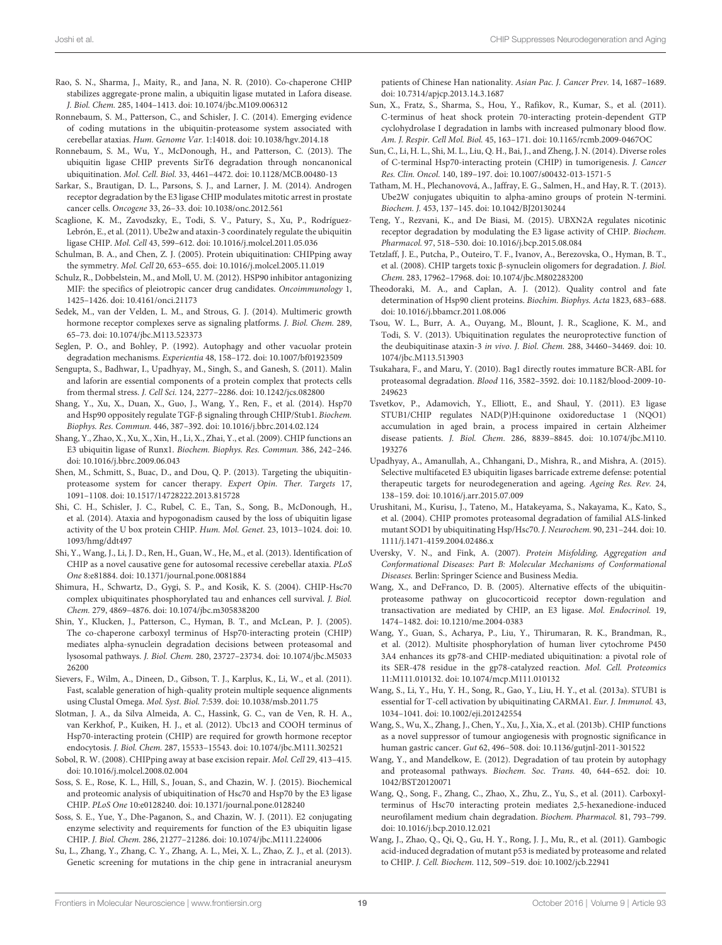- Rao, S. N., Sharma, J., Maity, R., and Jana, N. R. (2010). Co-chaperone CHIP stabilizes aggregate-prone malin, a ubiquitin ligase mutated in Lafora disease. J. Biol. Chem. 285, 1404–1413. doi: 10.1074/jbc.M109.006312
- Ronnebaum, S. M., Patterson, C., and Schisler, J. C. (2014). Emerging evidence of coding mutations in the ubiquitin-proteasome system associated with cerebellar ataxias. Hum. Genome Var. 1:14018. doi: 10.1038/hgv.2014.18
- Ronnebaum, S. M., Wu, Y., McDonough, H., and Patterson, C. (2013). The ubiquitin ligase CHIP prevents SirT6 degradation through noncanonical ubiquitination. Mol. Cell. Biol. 33, 4461–4472. doi: 10.1128/MCB.00480-13
- Sarkar, S., Brautigan, D. L., Parsons, S. J., and Larner, J. M. (2014). Androgen receptor degradation by the E3 ligase CHIP modulates mitotic arrest in prostate cancer cells. Oncogene 33, 26–33. doi: 10.1038/onc.2012.561
- Scaglione, K. M., Zavodszky, E., Todi, S. V., Patury, S., Xu, P., Rodríguez-Lebrón, E., et al. (2011). Ube2w and ataxin-3 coordinately regulate the ubiquitin ligase CHIP. Mol. Cell 43, 599–612. doi: 10.1016/j.molcel.2011.05.036
- Schulman, B. A., and Chen, Z. J. (2005). Protein ubiquitination: CHIPping away the symmetry. Mol. Cell 20, 653–655. doi: 10.1016/j.molcel.2005.11.019
- Schulz, R., Dobbelstein, M., and Moll, U. M. (2012). HSP90 inhibitor antagonizing MIF: the specifics of pleiotropic cancer drug candidates. Oncoimmunology 1, 1425–1426. doi: 10.4161/onci.21173
- Sedek, M., van der Velden, L. M., and Strous, G. J. (2014). Multimeric growth hormone receptor complexes serve as signaling platforms. J. Biol. Chem. 289, 65–73. doi: 10.1074/jbc.M113.523373
- Seglen, P. O., and Bohley, P. (1992). Autophagy and other vacuolar protein degradation mechanisms. Experientia 48, 158–172. doi: 10.1007/bf01923509
- Sengupta, S., Badhwar, I., Upadhyay, M., Singh, S., and Ganesh, S. (2011). Malin and laforin are essential components of a protein complex that protects cells from thermal stress. J. Cell Sci. 124, 2277–2286. doi: 10.1242/jcs.082800
- Shang, Y., Xu, X., Duan, X., Guo, J., Wang, Y., Ren, F., et al. (2014). Hsp70 and Hsp90 oppositely regulate TGF-β signaling through CHIP/Stub1. Biochem. Biophys. Res. Commun. 446, 387–392. doi: 10.1016/j.bbrc.2014.02.124
- Shang, Y., Zhao, X., Xu, X., Xin, H., Li, X., Zhai, Y., et al. (2009). CHIP functions an E3 ubiquitin ligase of Runx1. Biochem. Biophys. Res. Commun. 386, 242–246. doi: 10.1016/j.bbrc.2009.06.043
- Shen, M., Schmitt, S., Buac, D., and Dou, Q. P. (2013). Targeting the ubiquitinproteasome system for cancer therapy. Expert Opin. Ther. Targets 17, 1091–1108. doi: 10.1517/14728222.2013.815728
- Shi, C. H., Schisler, J. C., Rubel, C. E., Tan, S., Song, B., McDonough, H., et al. (2014). Ataxia and hypogonadism caused by the loss of ubiquitin ligase activity of the U box protein CHIP. Hum. Mol. Genet. 23, 1013–1024. doi: 10. 1093/hmg/ddt497
- Shi, Y., Wang, J., Li, J. D., Ren, H., Guan, W., He, M., et al. (2013). Identification of CHIP as a novel causative gene for autosomal recessive cerebellar ataxia. PLoS One 8:e81884. doi: 10.1371/journal.pone.0081884
- Shimura, H., Schwartz, D., Gygi, S. P., and Kosik, K. S. (2004). CHIP-Hsc70 complex ubiquitinates phosphorylated tau and enhances cell survival. J. Biol. Chem. 279, 4869–4876. doi: 10.1074/jbc.m305838200
- Shin, Y., Klucken, J., Patterson, C., Hyman, B. T., and McLean, P. J. (2005). The co-chaperone carboxyl terminus of Hsp70-interacting protein (CHIP) mediates alpha-synuclein degradation decisions between proteasomal and lysosomal pathways. J. Biol. Chem. 280, 23727–23734. doi: 10.1074/jbc.M5033 26200
- Sievers, F., Wilm, A., Dineen, D., Gibson, T. J., Karplus, K., Li, W., et al. (2011). Fast, scalable generation of high-quality protein multiple sequence alignments using Clustal Omega. Mol. Syst. Biol. 7:539. doi: 10.1038/msb.2011.75
- Slotman, J. A., da Silva Almeida, A. C., Hassink, G. C., van de Ven, R. H. A., van Kerkhof, P., Kuiken, H. J., et al. (2012). Ubc13 and COOH terminus of Hsp70-interacting protein (CHIP) are required for growth hormone receptor endocytosis. J. Biol. Chem. 287, 15533–15543. doi: 10.1074/jbc.M111.302521
- Sobol, R. W. (2008). CHIPping away at base excision repair. Mol. Cell 29, 413–415. doi: 10.1016/j.molcel.2008.02.004
- Soss, S. E., Rose, K. L., Hill, S., Jouan, S., and Chazin, W. J. (2015). Biochemical and proteomic analysis of ubiquitination of Hsc70 and Hsp70 by the E3 ligase CHIP. PLoS One 10:e0128240. doi: 10.1371/journal.pone.0128240
- Soss, S. E., Yue, Y., Dhe-Paganon, S., and Chazin, W. J. (2011). E2 conjugating enzyme selectivity and requirements for function of the E3 ubiquitin ligase CHIP. J. Biol. Chem. 286, 21277–21286. doi: 10.1074/jbc.M111.224006
- Su, L., Zhang, Y., Zhang, C. Y., Zhang, A. L., Mei, X. L., Zhao, Z. J., et al. (2013). Genetic screening for mutations in the chip gene in intracranial aneurysm

patients of Chinese Han nationality. Asian Pac. J. Cancer Prev. 14, 1687–1689. doi: 10.7314/apjcp.2013.14.3.1687

- Sun, X., Fratz, S., Sharma, S., Hou, Y., Rafikov, R., Kumar, S., et al. (2011). C-terminus of heat shock protein 70-interacting protein-dependent GTP cyclohydrolase I degradation in lambs with increased pulmonary blood flow. Am. J. Respir. Cell Mol. Biol. 45, 163–171. doi: 10.1165/rcmb.2009-0467OC
- Sun, C., Li, H. L., Shi, M. L., Liu, Q. H., Bai, J., and Zheng, J. N. (2014). Diverse roles of C-terminal Hsp70-interacting protein (CHIP) in tumorigenesis. J. Cancer Res. Clin. Oncol. 140, 189–197. doi: 10.1007/s00432-013-1571-5
- Tatham, M. H., Plechanovová, A., Jaffray, E. G., Salmen, H., and Hay, R. T. (2013). Ube2W conjugates ubiquitin to alpha-amino groups of protein N-termini. Biochem. J. 453, 137–145. doi: 10.1042/BJ20130244
- Teng, Y., Rezvani, K., and De Biasi, M. (2015). UBXN2A regulates nicotinic receptor degradation by modulating the E3 ligase activity of CHIP. Biochem. Pharmacol. 97, 518–530. doi: 10.1016/j.bcp.2015.08.084
- Tetzlaff, J. E., Putcha, P., Outeiro, T. F., Ivanov, A., Berezovska, O., Hyman, B. T., et al. (2008). CHIP targets toxic β-synuclein oligomers for degradation. J. Biol. Chem. 283, 17962–17968. doi: 10.1074/jbc.M802283200
- Theodoraki, M. A., and Caplan, A. J. (2012). Quality control and fate determination of Hsp90 client proteins. Biochim. Biophys. Acta 1823, 683–688. doi: 10.1016/j.bbamcr.2011.08.006
- Tsou, W. L., Burr, A. A., Ouyang, M., Blount, J. R., Scaglione, K. M., and Todi, S. V. (2013). Ubiquitination regulates the neuroprotective function of the deubiquitinase ataxin-3 in vivo. J. Biol. Chem. 288, 34460–34469. doi: 10. 1074/jbc.M113.513903
- Tsukahara, F., and Maru, Y. (2010). Bag1 directly routes immature BCR-ABL for proteasomal degradation. Blood 116, 3582–3592. doi: 10.1182/blood-2009-10- 249623
- Tsvetkov, P., Adamovich, Y., Elliott, E., and Shaul, Y. (2011). E3 ligase STUB1/CHIP regulates NAD(P)H:quinone oxidoreductase 1 (NQO1) accumulation in aged brain, a process impaired in certain Alzheimer disease patients. J. Biol. Chem. 286, 8839–8845. doi: 10.1074/jbc.M110. 193276
- Upadhyay, A., Amanullah, A., Chhangani, D., Mishra, R., and Mishra, A. (2015). Selective multifaceted E3 ubiquitin ligases barricade extreme defense: potential therapeutic targets for neurodegeneration and ageing. Ageing Res. Rev. 24, 138–159. doi: 10.1016/j.arr.2015.07.009
- Urushitani, M., Kurisu, J., Tateno, M., Hatakeyama, S., Nakayama, K., Kato, S., et al. (2004). CHIP promotes proteasomal degradation of familial ALS-linked mutant SOD1 by ubiquitinating Hsp/Hsc70. J. Neurochem. 90, 231–244. doi: 10. 1111/j.1471-4159.2004.02486.x
- Uversky, V. N., and Fink, A. (2007). Protein Misfolding, Aggregation and Conformational Diseases: Part B: Molecular Mechanisms of Conformational Diseases. Berlin: Springer Science and Business Media.
- Wang, X., and DeFranco, D. B. (2005). Alternative effects of the ubiquitinproteasome pathway on glucocorticoid receptor down-regulation and transactivation are mediated by CHIP, an E3 ligase. Mol. Endocrinol. 19, 1474–1482. doi: 10.1210/me.2004-0383
- Wang, Y., Guan, S., Acharya, P., Liu, Y., Thirumaran, R. K., Brandman, R., et al. (2012). Multisite phosphorylation of human liver cytochrome P450 3A4 enhances its gp78-and CHIP-mediated ubiquitination: a pivotal role of its SER-478 residue in the gp78-catalyzed reaction. Mol. Cell. Proteomics 11:M111.010132. doi: 10.1074/mcp.M111.010132
- Wang, S., Li, Y., Hu, Y. H., Song, R., Gao, Y., Liu, H. Y., et al. (2013a). STUB1 is essential for T-cell activation by ubiquitinating CARMA1. Eur. J. Immunol. 43, 1034–1041. doi: 10.1002/eji.201242554
- Wang, S., Wu, X., Zhang, J., Chen, Y., Xu, J., Xia, X., et al. (2013b). CHIP functions as a novel suppressor of tumour angiogenesis with prognostic significance in human gastric cancer. Gut 62, 496–508. doi: 10.1136/gutjnl-2011-301522
- Wang, Y., and Mandelkow, E. (2012). Degradation of tau protein by autophagy and proteasomal pathways. Biochem. Soc. Trans. 40, 644–652. doi: 10. 1042/BST20120071
- Wang, Q., Song, F., Zhang, C., Zhao, X., Zhu, Z., Yu, S., et al. (2011). Carboxylterminus of Hsc70 interacting protein mediates 2,5-hexanedione-induced neurofilament medium chain degradation. Biochem. Pharmacol. 81, 793–799. doi: 10.1016/j.bcp.2010.12.021
- Wang, J., Zhao, Q., Qi, Q., Gu, H. Y., Rong, J. J., Mu, R., et al. (2011). Gambogic acid-induced degradation of mutant p53 is mediated by proteasome and related to CHIP. J. Cell. Biochem. 112, 509–519. doi: 10.1002/jcb.22941